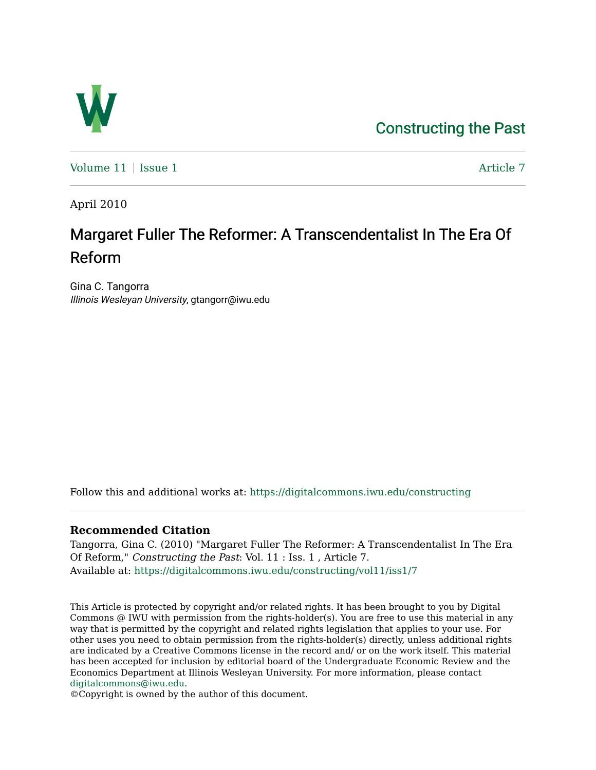## [Constructing the Past](https://digitalcommons.iwu.edu/constructing)



Volume  $11$  | [Issue 1](https://digitalcommons.iwu.edu/constructing/vol11/iss1)  $\blacksquare$ 

April 2010

## Margaret Fuller The Reformer: A Transcendentalist In The Era Of Reform

Gina C. Tangorra Illinois Wesleyan University, gtangorr@iwu.edu

Follow this and additional works at: [https://digitalcommons.iwu.edu/constructing](https://digitalcommons.iwu.edu/constructing?utm_source=digitalcommons.iwu.edu%2Fconstructing%2Fvol11%2Fiss1%2F7&utm_medium=PDF&utm_campaign=PDFCoverPages)

## **Recommended Citation**

Tangorra, Gina C. (2010) "Margaret Fuller The Reformer: A Transcendentalist In The Era Of Reform," Constructing the Past: Vol. 11 : Iss. 1 , Article 7. Available at: [https://digitalcommons.iwu.edu/constructing/vol11/iss1/7](https://digitalcommons.iwu.edu/constructing/vol11/iss1/7?utm_source=digitalcommons.iwu.edu%2Fconstructing%2Fvol11%2Fiss1%2F7&utm_medium=PDF&utm_campaign=PDFCoverPages)

This Article is protected by copyright and/or related rights. It has been brought to you by Digital Commons @ IWU with permission from the rights-holder(s). You are free to use this material in any way that is permitted by the copyright and related rights legislation that applies to your use. For other uses you need to obtain permission from the rights-holder(s) directly, unless additional rights are indicated by a Creative Commons license in the record and/ or on the work itself. This material has been accepted for inclusion by editorial board of the Undergraduate Economic Review and the Economics Department at Illinois Wesleyan University. For more information, please contact [digitalcommons@iwu.edu.](mailto:digitalcommons@iwu.edu)

©Copyright is owned by the author of this document.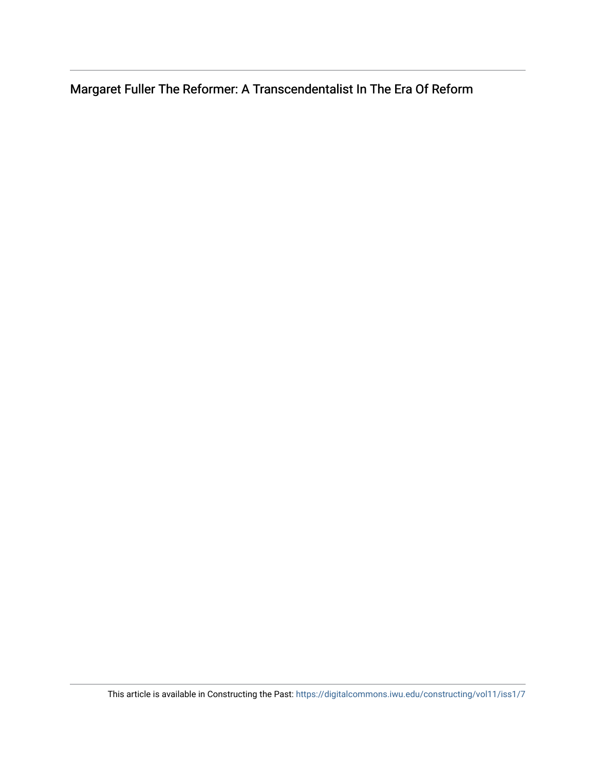Margaret Fuller The Reformer: A Transcendentalist In The Era Of Reform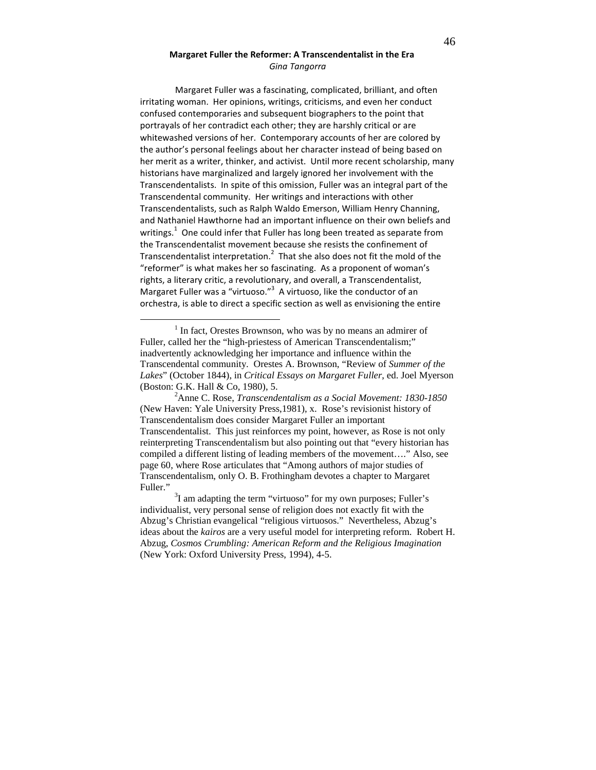## Margaret Fuller the Reformer: A Transcendentalist in the Era Gina Tangorra

Margaret Fuller was a fascinating, complicated, brilliant, and often irritating woman. Her opinions, writings, criticisms, and even her conduct confused contemporaries and subsequent biographers to the point that portrayals of her contradict each other; they are harshly critical or are whitewashed versions of her. Contemporary accounts of her are colored by the author's personal feelings about her character instead of being based on her merit as a writer, thinker, and activist. Until more recent scholarship, many historians have marginalized and largely ignored her involvement with the Transcendentalists. In spite of this omission, Fuller was an integral part of the Transcendental community. Her writings and interactions with other Transcendentalists, such as Ralph Waldo Emerson, William Henry Channing, and Nathaniel Hawthorne had an important influence on their own beliefs and writings.<sup>1</sup> One could infer that Fuller has long been treated as separate from the Transcendentalist movement because she resists the confinement of Transcendentalist interpretation.<sup>2</sup> That she also does not fit the mold of the "reformer" is what makes her so fascinating. As a proponent of woman's rights, a literary critic, a revolutionary, and overall, a Transcendentalist, Margaret Fuller was a "virtuoso."<sup>3</sup> A virtuoso, like the conductor of an orchestra, is able to direct a specific section as well as envisioning the entire

<u>.</u>

<sup>&</sup>lt;sup>1</sup> In fact, Orestes Brownson, who was by no means an admirer of Fuller, called her the "high-priestess of American Transcendentalism;" inadvertently acknowledging her importance and influence within the Transcendental community. Orestes A. Brownson, "Review of *Summer of the Lakes*" (October 1844), in *Critical Essays on Margaret Fuller*, ed. Joel Myerson (Boston: G.K. Hall & Co, 1980), 5.

<sup>2</sup>Anne C. Rose, *Transcendentalism as a Social Movement: 1830-1850* (New Haven: Yale University Press,1981), x. Rose's revisionist history of Transcendentalism does consider Margaret Fuller an important Transcendentalist. This just reinforces my point, however, as Rose is not only reinterpreting Transcendentalism but also pointing out that "every historian has compiled a different listing of leading members of the movement…." Also, see page 60, where Rose articulates that "Among authors of major studies of Transcendentalism, only O. B. Frothingham devotes a chapter to Margaret Fuller."

 $3$ I am adapting the term "virtuoso" for my own purposes; Fuller's individualist, very personal sense of religion does not exactly fit with the Abzug's Christian evangelical "religious virtuosos." Nevertheless, Abzug's ideas about the *kairos* are a very useful model for interpreting reform. Robert H. Abzug, *Cosmos Crumbling: American Reform and the Religious Imagination* (New York: Oxford University Press, 1994), 4-5.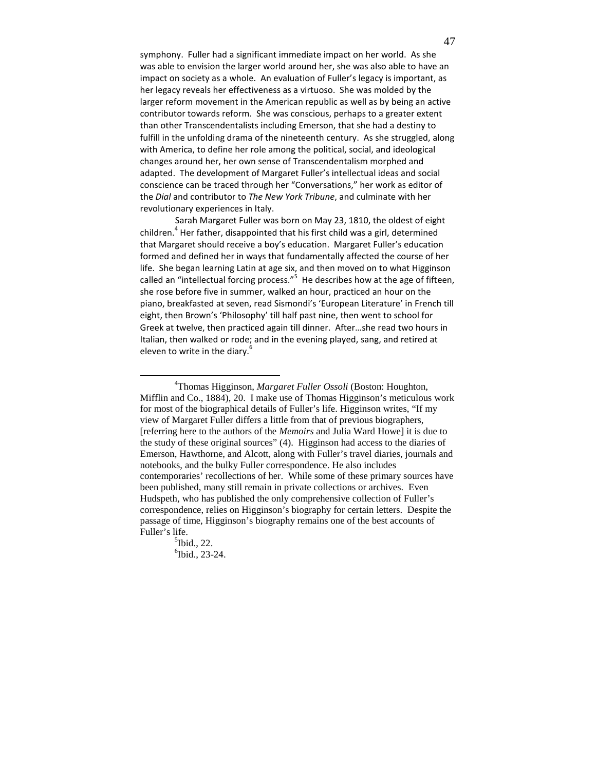symphony. Fuller had a significant immediate impact on her world. As she was able to envision the larger world around her, she was also able to have an impact on society as a whole. An evaluation of Fuller's legacy is important, as her legacy reveals her effectiveness as a virtuoso. She was molded by the larger reform movement in the American republic as well as by being an active contributor towards reform. She was conscious, perhaps to a greater extent than other Transcendentalists including Emerson, that she had a destiny to fulfill in the unfolding drama of the nineteenth century. As she struggled, along with America, to define her role among the political, social, and ideological changes around her, her own sense of Transcendentalism morphed and adapted. The development of Margaret Fuller's intellectual ideas and social conscience can be traced through her "Conversations," her work as editor of the Dial and contributor to The New York Tribune, and culminate with her revolutionary experiences in Italy.

 Sarah Margaret Fuller was born on May 23, 1810, the oldest of eight children.<sup>4</sup> Her father, disappointed that his first child was a girl, determined that Margaret should receive a boy's education. Margaret Fuller's education formed and defined her in ways that fundamentally affected the course of her life. She began learning Latin at age six, and then moved on to what Higginson called an "intellectual forcing process."<sup>5</sup> He describes how at the age of fifteen, she rose before five in summer, walked an hour, practiced an hour on the piano, breakfasted at seven, read Sismondi's 'European Literature' in French till eight, then Brown's 'Philosophy' till half past nine, then went to school for Greek at twelve, then practiced again till dinner. After…she read two hours in Italian, then walked or rode; and in the evening played, sang, and retired at eleven to write in the diary.<sup>6</sup>

<u>.</u>

<sup>4</sup>Thomas Higginson, *Margaret Fuller Ossoli* (Boston: Houghton, Mifflin and Co., 1884), 20. I make use of Thomas Higginson's meticulous work for most of the biographical details of Fuller's life. Higginson writes, "If my view of Margaret Fuller differs a little from that of previous biographers, [referring here to the authors of the *Memoirs* and Julia Ward Howe] it is due to the study of these original sources" (4). Higginson had access to the diaries of Emerson, Hawthorne, and Alcott, along with Fuller's travel diaries, journals and notebooks, and the bulky Fuller correspondence. He also includes contemporaries' recollections of her. While some of these primary sources have been published, many still remain in private collections or archives. Even Hudspeth, who has published the only comprehensive collection of Fuller's correspondence, relies on Higginson's biography for certain letters. Despite the passage of time, Higginson's biography remains one of the best accounts of Fuller's life.

 $<sup>5</sup>$ Ibid., 22.</sup> 6 Ibid., 23-24.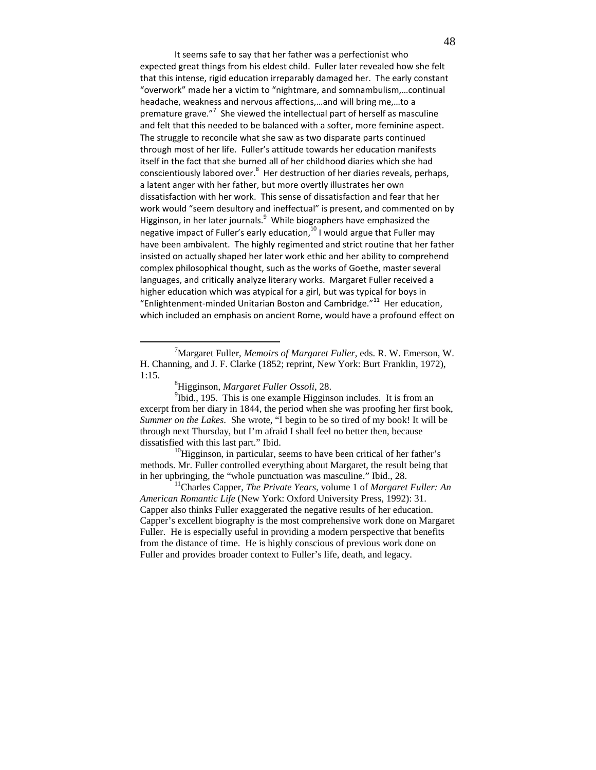It seems safe to say that her father was a perfectionist who expected great things from his eldest child. Fuller later revealed how she felt that this intense, rigid education irreparably damaged her. The early constant "overwork" made her a victim to "nightmare, and somnambulism,…continual headache, weakness and nervous affections,…and will bring me,…to a premature grave."<sup>7</sup> She viewed the intellectual part of herself as masculine and felt that this needed to be balanced with a softer, more feminine aspect. The struggle to reconcile what she saw as two disparate parts continued through most of her life. Fuller's attitude towards her education manifests itself in the fact that she burned all of her childhood diaries which she had conscientiously labored over. $^8$  Her destruction of her diaries reveals, perhaps, a latent anger with her father, but more overtly illustrates her own dissatisfaction with her work. This sense of dissatisfaction and fear that her work would "seem desultory and ineffectual" is present, and commented on by Higginson, in her later journals. <sup>9</sup> While biographers have emphasized the negative impact of Fuller's early education,<sup>10</sup> I would argue that Fuller may have been ambivalent. The highly regimented and strict routine that her father insisted on actually shaped her later work ethic and her ability to comprehend complex philosophical thought, such as the works of Goethe, master several languages, and critically analyze literary works. Margaret Fuller received a higher education which was atypical for a girl, but was typical for boys in "Enlightenment-minded Unitarian Boston and Cambridge." $^{11}$  Her education, which included an emphasis on ancient Rome, would have a profound effect on

 $\overline{a}$ 

 $10$ Higginson, in particular, seems to have been critical of her father's methods. Mr. Fuller controlled everything about Margaret, the result being that in her upbringing, the "whole punctuation was masculine." Ibid., 28.

<sup>7</sup>Margaret Fuller, *Memoirs of Margaret Fuller*, eds. R. W. Emerson, W. H. Channing, and J. F. Clarke (1852; reprint, New York: Burt Franklin, 1972), 1:15.

<sup>8</sup>Higginson, *Margaret Fuller Ossoli*, 28.

 $9$ Ibid., 195. This is one example Higginson includes. It is from an excerpt from her diary in 1844, the period when she was proofing her first book, *Summer on the Lakes*. She wrote, "I begin to be so tired of my book! It will be through next Thursday, but I'm afraid I shall feel no better then, because dissatisfied with this last part." Ibid.

<sup>11</sup>Charles Capper, *The Private Years*, volume 1 of *Margaret Fuller: An American Romantic Life* (New York: Oxford University Press, 1992): 31. Capper also thinks Fuller exaggerated the negative results of her education. Capper's excellent biography is the most comprehensive work done on Margaret Fuller. He is especially useful in providing a modern perspective that benefits from the distance of time. He is highly conscious of previous work done on Fuller and provides broader context to Fuller's life, death, and legacy.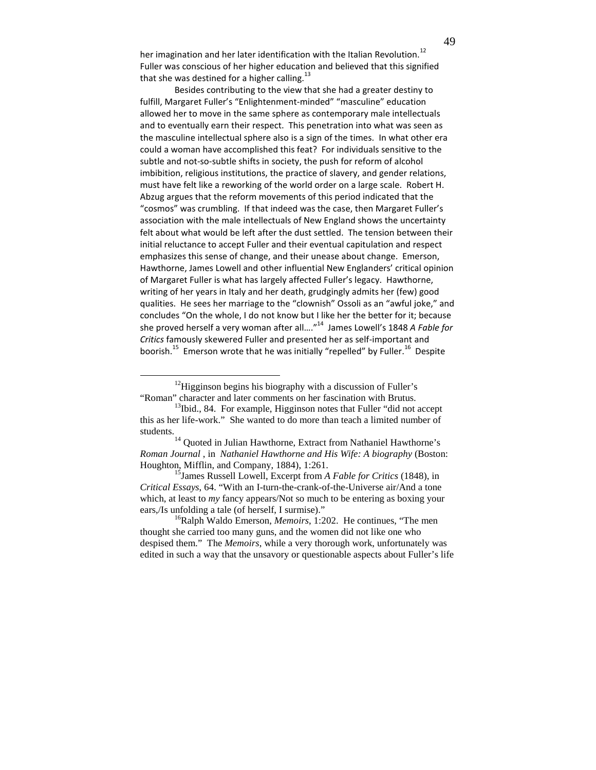her imagination and her later identification with the Italian Revolution.<sup>12</sup> Fuller was conscious of her higher education and believed that this signified that she was destined for a higher calling. $^{13}$ 

Besides contributing to the view that she had a greater destiny to fulfill, Margaret Fuller's "Enlightenment-minded" "masculine" education allowed her to move in the same sphere as contemporary male intellectuals and to eventually earn their respect. This penetration into what was seen as the masculine intellectual sphere also is a sign of the times. In what other era could a woman have accomplished this feat? For individuals sensitive to the subtle and not-so-subtle shifts in society, the push for reform of alcohol imbibition, religious institutions, the practice of slavery, and gender relations, must have felt like a reworking of the world order on a large scale. Robert H. Abzug argues that the reform movements of this period indicated that the "cosmos" was crumbling. If that indeed was the case, then Margaret Fuller's association with the male intellectuals of New England shows the uncertainty felt about what would be left after the dust settled. The tension between their initial reluctance to accept Fuller and their eventual capitulation and respect emphasizes this sense of change, and their unease about change. Emerson, Hawthorne, James Lowell and other influential New Englanders' critical opinion of Margaret Fuller is what has largely affected Fuller's legacy. Hawthorne, writing of her years in Italy and her death, grudgingly admits her (few) good qualities. He sees her marriage to the "clownish" Ossoli as an "awful joke," and concludes "On the whole, I do not know but I like her the better for it; because she proved herself a very woman after all...."<sup>14</sup> James Lowell's 1848 A Fable for Critics famously skewered Fuller and presented her as self-important and boorish.<sup>15</sup> Emerson wrote that he was initially "repelled" by Fuller.<sup>16</sup> Despite

 $12$ Higginson begins his biography with a discussion of Fuller's "Roman" character and later comments on her fascination with Brutus.

 $\overline{a}$ 

<sup>15</sup>James Russell Lowell, Excerpt from *A Fable for Critics* (1848), in *Critical Essays*, 64. "With an I-turn-the-crank-of-the-Universe air/And a tone which, at least to *my* fancy appears/Not so much to be entering as boxing your ears,/Is unfolding a tale (of herself, I surmise)."

 $13$ Ibid., 84. For example, Higginson notes that Fuller "did not accept" this as her life-work." She wanted to do more than teach a limited number of students.

<sup>&</sup>lt;sup>14</sup> Quoted in Julian Hawthorne, Extract from Nathaniel Hawthorne's *Roman Journal* , in *Nathaniel Hawthorne and His Wife: A biography* (Boston: Houghton, Mifflin, and Company, 1884), 1:261.

<sup>&</sup>lt;sup>16</sup>Ralph Waldo Emerson, *Memoirs*, 1:202. He continues, "The men thought she carried too many guns, and the women did not like one who despised them." The *Memoirs*, while a very thorough work, unfortunately was edited in such a way that the unsavory or questionable aspects about Fuller's life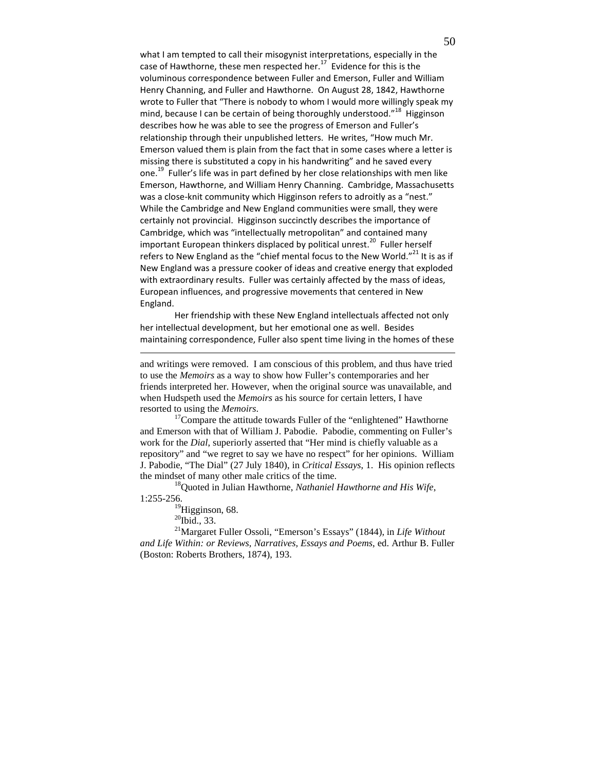what I am tempted to call their misogynist interpretations, especially in the case of Hawthorne, these men respected her.<sup>17</sup> Evidence for this is the voluminous correspondence between Fuller and Emerson, Fuller and William Henry Channing, and Fuller and Hawthorne. On August 28, 1842, Hawthorne wrote to Fuller that "There is nobody to whom I would more willingly speak my mind, because I can be certain of being thoroughly understood."<sup>18</sup> Higginson describes how he was able to see the progress of Emerson and Fuller's relationship through their unpublished letters. He writes, "How much Mr. Emerson valued them is plain from the fact that in some cases where a letter is missing there is substituted a copy in his handwriting" and he saved every one.<sup>19</sup> Fuller's life was in part defined by her close relationships with men like Emerson, Hawthorne, and William Henry Channing. Cambridge, Massachusetts was a close-knit community which Higginson refers to adroitly as a "nest." While the Cambridge and New England communities were small, they were certainly not provincial. Higginson succinctly describes the importance of Cambridge, which was "intellectually metropolitan" and contained many important European thinkers displaced by political unrest.<sup>20</sup> Fuller herself refers to New England as the "chief mental focus to the New World." $^{21}$  It is as if New England was a pressure cooker of ideas and creative energy that exploded with extraordinary results. Fuller was certainly affected by the mass of ideas, European influences, and progressive movements that centered in New England.

Her friendship with these New England intellectuals affected not only her intellectual development, but her emotional one as well. Besides maintaining correspondence, Fuller also spent time living in the homes of these

and writings were removed. I am conscious of this problem, and thus have tried to use the *Memoirs* as a way to show how Fuller's contemporaries and her friends interpreted her. However, when the original source was unavailable, and when Hudspeth used the *Memoirs* as his source for certain letters, I have resorted to using the *Memoirs*.

 $17$ Compare the attitude towards Fuller of the "enlightened" Hawthorne and Emerson with that of William J. Pabodie. Pabodie, commenting on Fuller's work for the *Dial*, superiorly asserted that "Her mind is chiefly valuable as a repository" and "we regret to say we have no respect" for her opinions. William J. Pabodie, "The Dial" (27 July 1840), in *Critical Essays*, 1. His opinion reflects the mindset of many other male critics of the time.

<sup>18</sup>Quoted in Julian Hawthorne, *Nathaniel Hawthorne and His Wife*, 1:255-256.

 $^{19}$ Higginson, 68.

 $20$ Ibid., 33.

-

<sup>21</sup>Margaret Fuller Ossoli, "Emerson's Essays" (1844), in *Life Without and Life Within: or Reviews, Narratives, Essays and Poems*, ed. Arthur B. Fuller (Boston: Roberts Brothers, 1874), 193.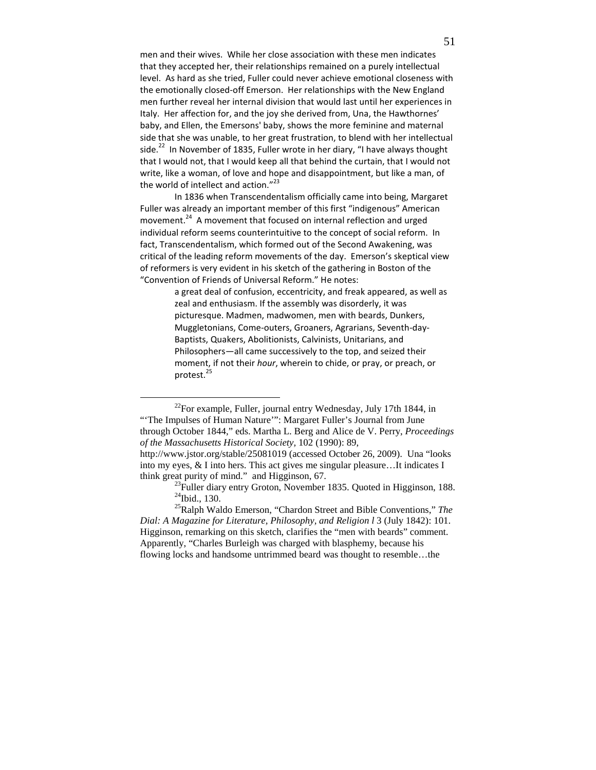men and their wives. While her close association with these men indicates that they accepted her, their relationships remained on a purely intellectual level. As hard as she tried, Fuller could never achieve emotional closeness with the emotionally closed-off Emerson. Her relationships with the New England men further reveal her internal division that would last until her experiences in Italy. Her affection for, and the joy she derived from, Una, the Hawthornes' baby, and Ellen, the Emersons' baby, shows the more feminine and maternal side that she was unable, to her great frustration, to blend with her intellectual side.<sup>22</sup> In November of 1835, Fuller wrote in her diary, "I have always thought that I would not, that I would keep all that behind the curtain, that I would not write, like a woman, of love and hope and disappointment, but like a man, of the world of intellect and action."<sup>23</sup>

In 1836 when Transcendentalism officially came into being, Margaret Fuller was already an important member of this first "indigenous" American movement.<sup>24</sup> A movement that focused on internal reflection and urged individual reform seems counterintuitive to the concept of social reform. In fact, Transcendentalism, which formed out of the Second Awakening, was critical of the leading reform movements of the day. Emerson's skeptical view of reformers is very evident in his sketch of the gathering in Boston of the "Convention of Friends of Universal Reform." He notes:

> a great deal of confusion, eccentricity, and freak appeared, as well as zeal and enthusiasm. If the assembly was disorderly, it was picturesque. Madmen, madwomen, men with beards, Dunkers, Muggletonians, Come-outers, Groaners, Agrarians, Seventh-day-Baptists, Quakers, Abolitionists, Calvinists, Unitarians, and Philosophers—all came successively to the top, and seized their moment, if not their hour, wherein to chide, or pray, or preach, or protest.<sup>25</sup>

 $\overline{a}$  $^{22}$ For example, Fuller, journal entry Wednesday, July 17th 1844, in "The Impulses of Human Nature"": Margaret Fuller's Journal from June through October 1844," eds. Martha L. Berg and Alice de V. Perry, *Proceedings of the Massachusetts Historical Society,* 102 (1990): 89, http://www.jstor.org/stable/25081019 (accessed October 26, 2009). Una "looks

into my eyes, & I into hers. This act gives me singular pleasure…It indicates I think great purity of mind." and Higginson, 67.

<sup>&</sup>lt;sup>23</sup>Fuller diary entry Groton, November 1835. Quoted in Higginson, 188.  $24$ Ibid., 130.

<sup>25</sup>Ralph Waldo Emerson, "Chardon Street and Bible Conventions," *The Dial: A Magazine for Literature, Philosophy, and Religion l* 3 (July 1842): 101. Higginson, remarking on this sketch, clarifies the "men with beards" comment. Apparently, "Charles Burleigh was charged with blasphemy, because his flowing locks and handsome untrimmed beard was thought to resemble…the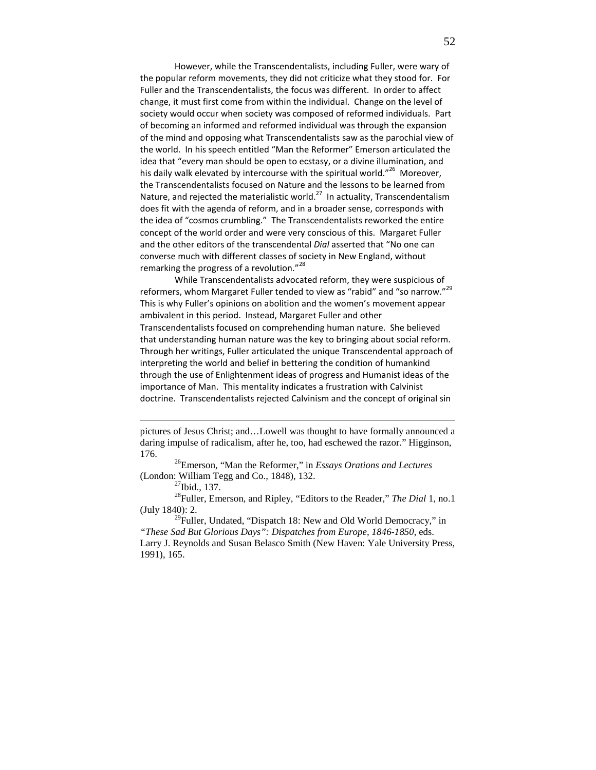However, while the Transcendentalists, including Fuller, were wary of the popular reform movements, they did not criticize what they stood for. For Fuller and the Transcendentalists, the focus was different. In order to affect change, it must first come from within the individual. Change on the level of society would occur when society was composed of reformed individuals. Part of becoming an informed and reformed individual was through the expansion of the mind and opposing what Transcendentalists saw as the parochial view of the world. In his speech entitled "Man the Reformer" Emerson articulated the idea that "every man should be open to ecstasy, or a divine illumination, and his daily walk elevated by intercourse with the spiritual world."<sup>26</sup> Moreover, the Transcendentalists focused on Nature and the lessons to be learned from Nature, and rejected the materialistic world. $^{27}$  In actuality, Transcendentalism does fit with the agenda of reform, and in a broader sense, corresponds with the idea of "cosmos crumbling." The Transcendentalists reworked the entire concept of the world order and were very conscious of this. Margaret Fuller and the other editors of the transcendental Dial asserted that "No one can converse much with different classes of society in New England, without remarking the progress of a revolution."<sup>28</sup>

While Transcendentalists advocated reform, they were suspicious of reformers, whom Margaret Fuller tended to view as "rabid" and "so narrow."<sup>29</sup> This is why Fuller's opinions on abolition and the women's movement appear ambivalent in this period. Instead, Margaret Fuller and other Transcendentalists focused on comprehending human nature. She believed that understanding human nature was the key to bringing about social reform. Through her writings, Fuller articulated the unique Transcendental approach of interpreting the world and belief in bettering the condition of humankind through the use of Enlightenment ideas of progress and Humanist ideas of the importance of Man. This mentality indicates a frustration with Calvinist doctrine. Transcendentalists rejected Calvinism and the concept of original sin

<sup>26</sup>Emerson, "Man the Reformer," in *Essays Orations and Lectures*  (London: William Tegg and Co., 1848), 132.

 $\overline{a}$ 

<sup>28</sup>Fuller, Emerson, and Ripley, "Editors to the Reader," *The Dial* 1, no.1 (July 1840): 2.

 $29$ Fuller, Undated, "Dispatch 18: New and Old World Democracy," in *"These Sad But Glorious Days": Dispatches from Europe, 1846-1850*, eds. Larry J. Reynolds and Susan Belasco Smith (New Haven: Yale University Press, 1991), 165.

pictures of Jesus Christ; and…Lowell was thought to have formally announced a daring impulse of radicalism, after he, too, had eschewed the razor." Higginson, 176.

<sup>27</sup>Ibid., 137.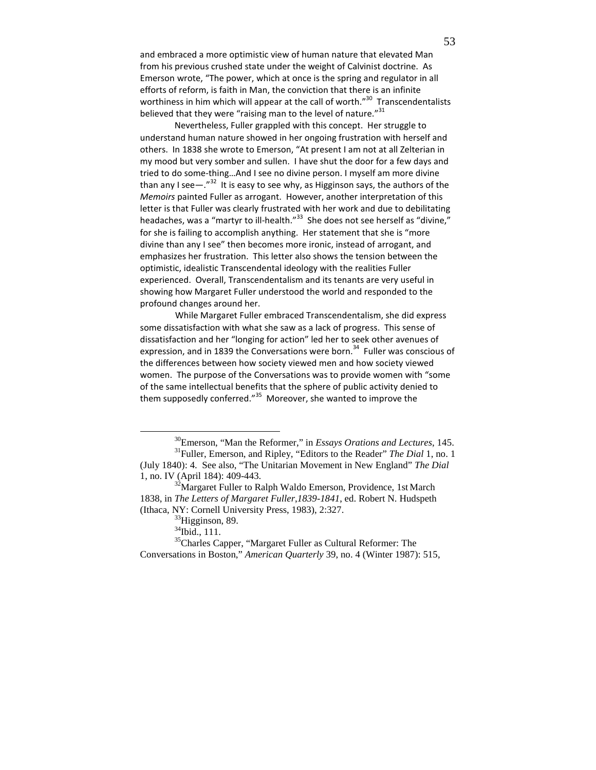and embraced a more optimistic view of human nature that elevated Man from his previous crushed state under the weight of Calvinist doctrine. As Emerson wrote, "The power, which at once is the spring and regulator in all efforts of reform, is faith in Man, the conviction that there is an infinite worthiness in him which will appear at the call of worth."<sup>30</sup> Transcendentalists believed that they were "raising man to the level of nature." $^{31}$ 

Nevertheless, Fuller grappled with this concept. Her struggle to understand human nature showed in her ongoing frustration with herself and others. In 1838 she wrote to Emerson, "At present I am not at all Zelterian in my mood but very somber and sullen. I have shut the door for a few days and tried to do some-thing…And I see no divine person. I myself am more divine than any I see—." $^{32}$  It is easy to see why, as Higginson says, the authors of the Memoirs painted Fuller as arrogant. However, another interpretation of this letter is that Fuller was clearly frustrated with her work and due to debilitating headaches, was a "martyr to ill-health."<sup>33</sup> She does not see herself as "divine," for she is failing to accomplish anything. Her statement that she is "more divine than any I see" then becomes more ironic, instead of arrogant, and emphasizes her frustration. This letter also shows the tension between the optimistic, idealistic Transcendental ideology with the realities Fuller experienced. Overall, Transcendentalism and its tenants are very useful in showing how Margaret Fuller understood the world and responded to the profound changes around her.

 While Margaret Fuller embraced Transcendentalism, she did express some dissatisfaction with what she saw as a lack of progress. This sense of dissatisfaction and her "longing for action" led her to seek other avenues of expression, and in 1839 the Conversations were born.<sup>34</sup> Fuller was conscious of the differences between how society viewed men and how society viewed women. The purpose of the Conversations was to provide women with "some of the same intellectual benefits that the sphere of public activity denied to them supposedly conferred."<sup>35</sup> Moreover, she wanted to improve the

<sup>30</sup>Emerson, "Man the Reformer," in *Essays Orations and Lectures*, 145. <sup>31</sup>Fuller, Emerson, and Ripley, "Editors to the Reader" *The Dial* 1, no. 1 (July 1840): 4. See also, "The Unitarian Movement in New England" *The Dial*  1, no. IV (April 184): 409-443.

<sup>&</sup>lt;sup>32</sup>Margaret Fuller to Ralph Waldo Emerson, Providence, 1st March 1838, in *The Letters of Margaret Fuller*,*1839-1841*, ed. Robert N. Hudspeth (Ithaca, NY: Cornell University Press, 1983), 2:327.

<sup>&</sup>lt;sup>33</sup>Higginson, 89.

<sup>&</sup>lt;sup>34</sup>Ibid., 111.

<sup>&</sup>lt;sup>35</sup>Charles Capper, "Margaret Fuller as Cultural Reformer: The Conversations in Boston," *American Quarterly* 39, no. 4 (Winter 1987): 515,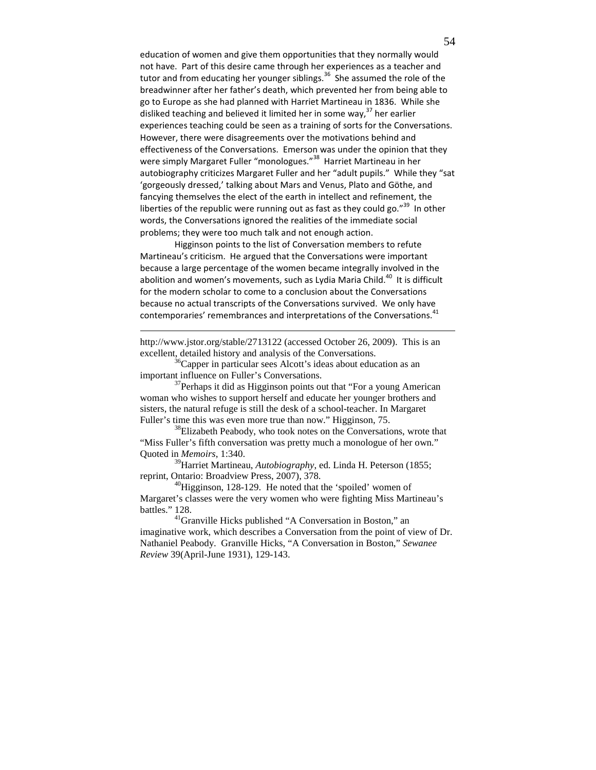education of women and give them opportunities that they normally would not have. Part of this desire came through her experiences as a teacher and tutor and from educating her younger siblings.<sup>36</sup> She assumed the role of the breadwinner after her father's death, which prevented her from being able to go to Europe as she had planned with Harriet Martineau in 1836. While she disliked teaching and believed it limited her in some way,<sup>37</sup> her earlier experiences teaching could be seen as a training of sorts for the Conversations. However, there were disagreements over the motivations behind and effectiveness of the Conversations. Emerson was under the opinion that they were simply Margaret Fuller "monologues."<sup>38</sup> Harriet Martineau in her autobiography criticizes Margaret Fuller and her "adult pupils." While they "sat 'gorgeously dressed,' talking about Mars and Venus, Plato and Göthe, and fancying themselves the elect of the earth in intellect and refinement, the liberties of the republic were running out as fast as they could go."<sup>39</sup> In other words, the Conversations ignored the realities of the immediate social problems; they were too much talk and not enough action.

Higginson points to the list of Conversation members to refute Martineau's criticism. He argued that the Conversations were important because a large percentage of the women became integrally involved in the abolition and women's movements, such as Lydia Maria Child.<sup>40</sup> It is difficult for the modern scholar to come to a conclusion about the Conversations because no actual transcripts of the Conversations survived. We only have contemporaries' remembrances and interpretations of the Conversations.<sup>41</sup>

http://www.jstor.org/stable/2713122 (accessed October 26, 2009). This is an excellent, detailed history and analysis of the Conversations.

<sup>36</sup>Capper in particular sees Alcott's ideas about education as an important influence on Fuller's Conversations.

<u>.</u>

 $37$ Perhaps it did as Higginson points out that "For a young American" woman who wishes to support herself and educate her younger brothers and sisters, the natural refuge is still the desk of a school-teacher. In Margaret Fuller's time this was even more true than now." Higginson, 75.

<sup>38</sup>Elizabeth Peabody, who took notes on the Conversations, wrote that "Miss Fuller's fifth conversation was pretty much a monologue of her own." Quoted in *Memoirs*, 1:340.

<sup>39</sup>Harriet Martineau, *Autobiography*, ed. Linda H. Peterson (1855; reprint, Ontario: Broadview Press, 2007), 378.

<sup>40</sup>Higginson, 128-129. He noted that the 'spoiled' women of Margaret's classes were the very women who were fighting Miss Martineau's battles." 128.

<sup>41</sup>Granville Hicks published "A Conversation in Boston," an imaginative work, which describes a Conversation from the point of view of Dr. Nathaniel Peabody. Granville Hicks, "A Conversation in Boston," *Sewanee Review* 39(April-June 1931), 129-143.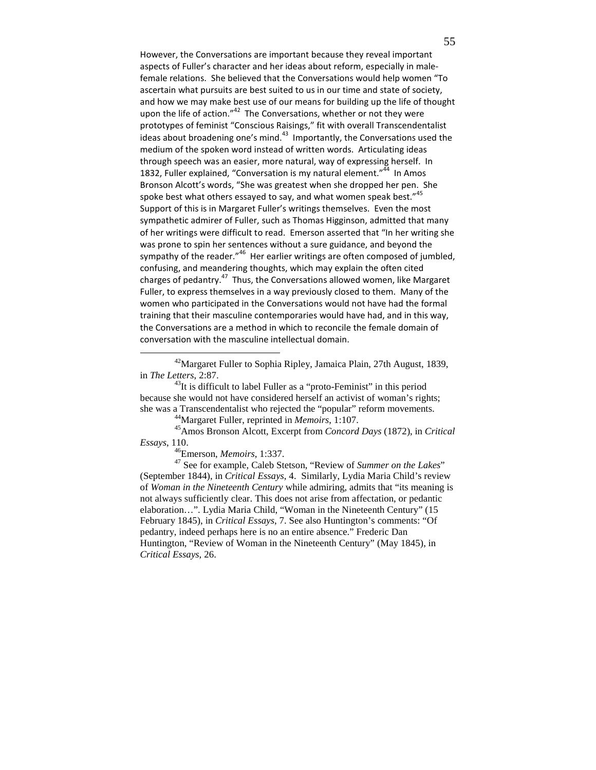However, the Conversations are important because they reveal important aspects of Fuller's character and her ideas about reform, especially in malefemale relations. She believed that the Conversations would help women "To ascertain what pursuits are best suited to us in our time and state of society, and how we may make best use of our means for building up the life of thought upon the life of action."<sup>42</sup> The Conversations, whether or not they were prototypes of feminist "Conscious Raisings," fit with overall Transcendentalist ideas about broadening one's mind. $43$  Importantly, the Conversations used the medium of the spoken word instead of written words. Articulating ideas through speech was an easier, more natural, way of expressing herself. In 1832, Fuller explained, "Conversation is my natural element."<sup>44</sup> In Amos Bronson Alcott's words, "She was greatest when she dropped her pen. She spoke best what others essayed to say, and what women speak best." $45$ Support of this is in Margaret Fuller's writings themselves. Even the most sympathetic admirer of Fuller, such as Thomas Higginson, admitted that many of her writings were difficult to read. Emerson asserted that "In her writing she was prone to spin her sentences without a sure guidance, and beyond the sympathy of the reader."<sup>46</sup> Her earlier writings are often composed of jumbled, confusing, and meandering thoughts, which may explain the often cited charges of pedantry.<sup>47</sup> Thus, the Conversations allowed women, like Margaret Fuller, to express themselves in a way previously closed to them. Many of the women who participated in the Conversations would not have had the formal training that their masculine contemporaries would have had, and in this way, the Conversations are a method in which to reconcile the female domain of conversation with the masculine intellectual domain.

<sup>42</sup>Margaret Fuller to Sophia Ripley, Jamaica Plain, 27th August, 1839, in *The Letters*, 2:87.

 $^{43}$ It is difficult to label Fuller as a "proto-Feminist" in this period because she would not have considered herself an activist of woman's rights; she was a Transcendentalist who rejected the "popular" reform movements.

<sup>44</sup>Margaret Fuller, reprinted in *Memoirs*, 1:107.

<sup>45</sup>Amos Bronson Alcott, Excerpt from *Concord Days* (1872), in *Critical Essays*, 110.

<sup>46</sup>Emerson, *Memoirs*, 1:337.

 $\overline{a}$ 

<sup>47</sup> See for example, Caleb Stetson, "Review of *Summer on the Lakes*" (September 1844), in *Critical Essays*, 4. Similarly, Lydia Maria Child's review of *Woman in the Nineteenth Century* while admiring, admits that "its meaning is not always sufficiently clear. This does not arise from affectation, or pedantic elaboration…". Lydia Maria Child, "Woman in the Nineteenth Century" (15 February 1845), in *Critical Essays*, 7. See also Huntington's comments: "Of pedantry, indeed perhaps here is no an entire absence." Frederic Dan Huntington, "Review of Woman in the Nineteenth Century" (May 1845), in *Critical Essays*, 26.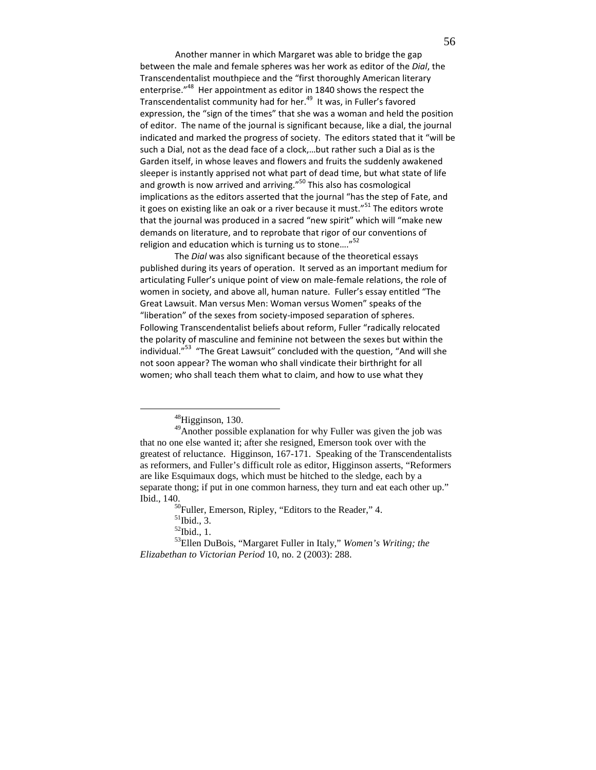Another manner in which Margaret was able to bridge the gap between the male and female spheres was her work as editor of the Dial, the Transcendentalist mouthpiece and the "first thoroughly American literary enterprise."<sup>48</sup> Her appointment as editor in 1840 shows the respect the Transcendentalist community had for her.<sup>49</sup> It was, in Fuller's favored expression, the "sign of the times" that she was a woman and held the position of editor. The name of the journal is significant because, like a dial, the journal indicated and marked the progress of society. The editors stated that it "will be such a Dial, not as the dead face of a clock,…but rather such a Dial as is the Garden itself, in whose leaves and flowers and fruits the suddenly awakened sleeper is instantly apprised not what part of dead time, but what state of life and growth is now arrived and arriving."<sup>50</sup> This also has cosmological implications as the editors asserted that the journal "has the step of Fate, and it goes on existing like an oak or a river because it must."<sup>51</sup> The editors wrote that the journal was produced in a sacred "new spirit" which will "make new demands on literature, and to reprobate that rigor of our conventions of religion and education which is turning us to stone...."<sup>52</sup>

The Dial was also significant because of the theoretical essays published during its years of operation. It served as an important medium for articulating Fuller's unique point of view on male-female relations, the role of women in society, and above all, human nature. Fuller's essay entitled "The Great Lawsuit. Man versus Men: Woman versus Women" speaks of the "liberation" of the sexes from society-imposed separation of spheres. Following Transcendentalist beliefs about reform, Fuller "radically relocated the polarity of masculine and feminine not between the sexes but within the individual."<sup>53</sup> "The Great Lawsuit" concluded with the question, "And will she not soon appear? The woman who shall vindicate their birthright for all women; who shall teach them what to claim, and how to use what they

<sup>48</sup>Higginson, 130.

 $^{49}$ Another possible explanation for why Fuller was given the job was that no one else wanted it; after she resigned, Emerson took over with the greatest of reluctance. Higginson, 167-171. Speaking of the Transcendentalists as reformers, and Fuller's difficult role as editor, Higginson asserts, "Reformers are like Esquimaux dogs, which must be hitched to the sledge, each by a separate thong; if put in one common harness, they turn and eat each other up." Ibid., 140.

 $50$ Fuller, Emerson, Ripley, "Editors to the Reader," 4.

 $<sup>51</sup>$ Ibid., 3.</sup>

 $52$ Ibid., 1.

<sup>53</sup>Ellen DuBois, "Margaret Fuller in Italy," *Women's Writing; the Elizabethan to Victorian Period* 10, no. 2 (2003): 288.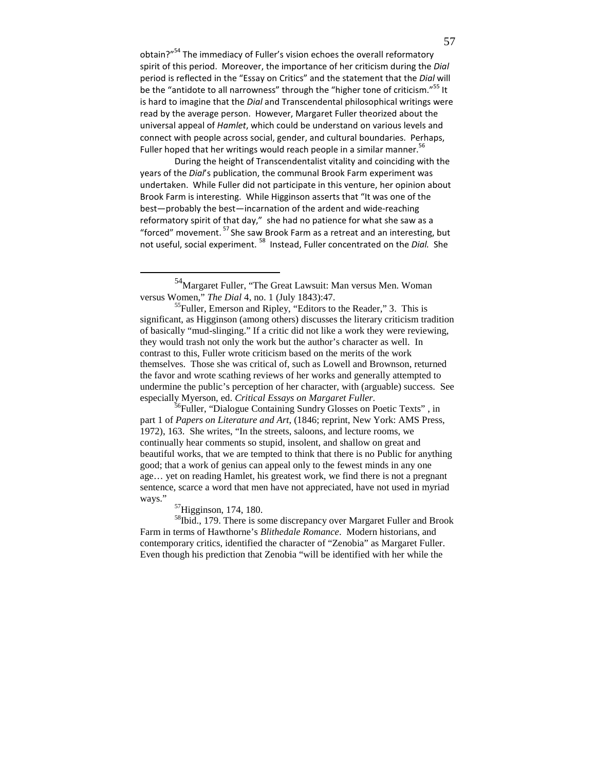obtain?"<sup>54</sup> The immediacy of Fuller's vision echoes the overall reformatory spirit of this period. Moreover, the importance of her criticism during the Dial period is reflected in the "Essay on Critics" and the statement that the Dial will be the "antidote to all narrowness" through the "higher tone of criticism."<sup>55</sup> It is hard to imagine that the Dial and Transcendental philosophical writings were read by the average person. However, Margaret Fuller theorized about the universal appeal of Hamlet, which could be understand on various levels and connect with people across social, gender, and cultural boundaries. Perhaps, Fuller hoped that her writings would reach people in a similar manner.<sup>56</sup>

During the height of Transcendentalist vitality and coinciding with the years of the Dial's publication, the communal Brook Farm experiment was undertaken. While Fuller did not participate in this venture, her opinion about Brook Farm is interesting. While Higginson asserts that "It was one of the best—probably the best—incarnation of the ardent and wide-reaching reformatory spirit of that day," she had no patience for what she saw as a "forced" movement.<sup>57</sup> She saw Brook Farm as a retreat and an interesting, but not useful, social experiment. <sup>58</sup> Instead, Fuller concentrated on the *Dial.* She

<sup>57</sup>Higginson, 174, 180.

<u>.</u>

<sup>58</sup>Ibid., 179. There is some discrepancy over Margaret Fuller and Brook Farm in terms of Hawthorne's *Blithedale Romance*. Modern historians, and contemporary critics, identified the character of "Zenobia" as Margaret Fuller. Even though his prediction that Zenobia "will be identified with her while the

<sup>54</sup>Margaret Fuller, "The Great Lawsuit: Man versus Men. Woman versus Women," *The Dial* 4, no. 1 (July 1843):47.

<sup>55</sup>Fuller, Emerson and Ripley, "Editors to the Reader," 3. This is significant, as Higginson (among others) discusses the literary criticism tradition of basically "mud-slinging." If a critic did not like a work they were reviewing, they would trash not only the work but the author's character as well. In contrast to this, Fuller wrote criticism based on the merits of the work themselves. Those she was critical of, such as Lowell and Brownson, returned the favor and wrote scathing reviews of her works and generally attempted to undermine the public's perception of her character, with (arguable) success. See especially Myerson, ed. *Critical Essays on Margaret Fuller*.

<sup>&</sup>lt;sup>56</sup>Fuller, "Dialogue Containing Sundry Glosses on Poetic Texts", in part 1 of *Papers on Literature and Art*, (1846; reprint, New York: AMS Press, 1972), 163. She writes, "In the streets, saloons, and lecture rooms, we continually hear comments so stupid, insolent, and shallow on great and beautiful works, that we are tempted to think that there is no Public for anything good; that a work of genius can appeal only to the fewest minds in any one age… yet on reading Hamlet, his greatest work, we find there is not a pregnant sentence, scarce a word that men have not appreciated, have not used in myriad ways."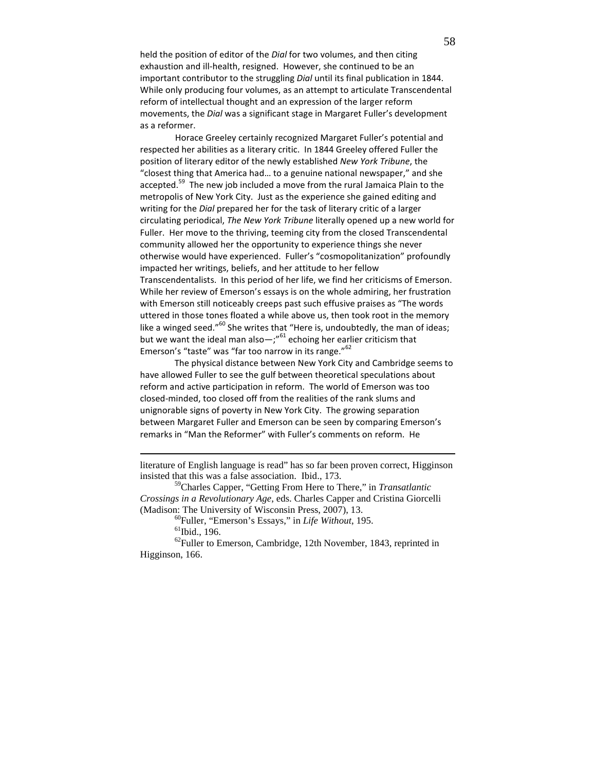held the position of editor of the Dial for two volumes, and then citing exhaustion and ill-health, resigned. However, she continued to be an important contributor to the struggling Dial until its final publication in 1844. While only producing four volumes, as an attempt to articulate Transcendental reform of intellectual thought and an expression of the larger reform movements, the Dial was a significant stage in Margaret Fuller's development as a reformer.

 Horace Greeley certainly recognized Margaret Fuller's potential and respected her abilities as a literary critic. In 1844 Greeley offered Fuller the position of literary editor of the newly established New York Tribune, the "closest thing that America had… to a genuine national newspaper," and she accepted.<sup>59</sup> The new job included a move from the rural Jamaica Plain to the metropolis of New York City. Just as the experience she gained editing and writing for the Dial prepared her for the task of literary critic of a larger circulating periodical, The New York Tribune literally opened up a new world for Fuller. Her move to the thriving, teeming city from the closed Transcendental community allowed her the opportunity to experience things she never otherwise would have experienced. Fuller's "cosmopolitanization" profoundly impacted her writings, beliefs, and her attitude to her fellow Transcendentalists. In this period of her life, we find her criticisms of Emerson. While her review of Emerson's essays is on the whole admiring, her frustration with Emerson still noticeably creeps past such effusive praises as "The words uttered in those tones floated a while above us, then took root in the memory like a winged seed." $60^{\circ}$  She writes that "Here is, undoubtedly, the man of ideas; but we want the ideal man also  $-$ ;"<sup>61</sup> echoing her earlier criticism that Emerson's "taste" was "far too narrow in its range."<sup>62</sup>

The physical distance between New York City and Cambridge seems to have allowed Fuller to see the gulf between theoretical speculations about reform and active participation in reform. The world of Emerson was too closed-minded, too closed off from the realities of the rank slums and unignorable signs of poverty in New York City. The growing separation between Margaret Fuller and Emerson can be seen by comparing Emerson's remarks in "Man the Reformer" with Fuller's comments on reform. He

literature of English language is read" has so far been proven correct, Higginson insisted that this was a false association. Ibid., 173.

<sup>59</sup>Charles Capper, "Getting From Here to There," in *Transatlantic Crossings in a Revolutionary Age*, eds. Charles Capper and Cristina Giorcelli (Madison: The University of Wisconsin Press, 2007), 13.

<sup>60</sup>Fuller, "Emerson's Essays," in *Life Without*, 195.

<u>.</u>

 $62$ Fuller to Emerson, Cambridge, 12th November, 1843, reprinted in Higginson, 166.

 $61$ Ibid., 196.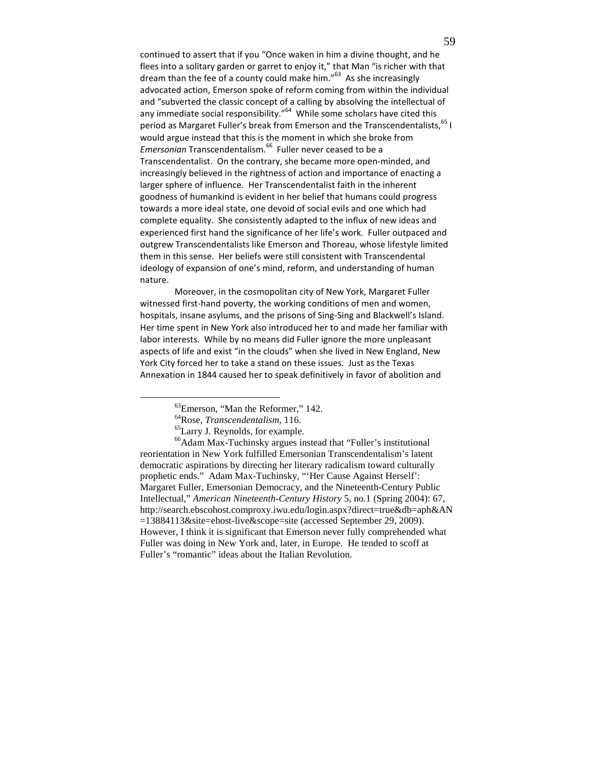continued to assert that if you "Once waken in him a divine thought, and he flees into a solitary garden or garret to enjoy it," that Man "is richer with that dream than the fee of a county could make him."<sup>63</sup> As she increasingly advocated action, Emerson spoke of reform coming from within the individual and "subverted the classic concept of a calling by absolving the intellectual of any immediate social responsibility."<sup>64</sup> While some scholars have cited this period as Margaret Fuller's break from Emerson and the Transcendentalists, 65 I would argue instead that this is the moment in which she broke from Emersonian Transcendentalism.<sup>66</sup> Fuller never ceased to be a Transcendentalist. On the contrary, she became more open-minded, and increasingly believed in the rightness of action and importance of enacting a larger sphere of influence. Her Transcendentalist faith in the inherent goodness of humankind is evident in her belief that humans could progress towards a more ideal state, one devoid of social evils and one which had complete equality. She consistently adapted to the influx of new ideas and experienced first hand the significance of her life's work. Fuller outpaced and outgrew Transcendentalists like Emerson and Thoreau, whose lifestyle limited them in this sense. Her beliefs were still consistent with Transcendental ideology of expansion of one's mind, reform, and understanding of human nature.

Moreover, in the cosmopolitan city of New York, Margaret Fuller witnessed first-hand poverty, the working conditions of men and women, hospitals, insane asylums, and the prisons of Sing-Sing and Blackwell's Island. Her time spent in New York also introduced her to and made her familiar with labor interests. While by no means did Fuller ignore the more unpleasant aspects of life and exist "in the clouds" when she lived in New England, New York City forced her to take a stand on these issues. Just as the Texas Annexation in 1844 caused her to speak definitively in favor of abolition and

<sup>&</sup>lt;sup>63</sup>Emerson, "Man the Reformer," 142.

<sup>64</sup>Rose, *Transcendentalism*, 116.

<sup>65</sup>Larry J. Reynolds, for example.

<sup>66</sup>Adam Max-Tuchinsky argues instead that "Fuller's institutional reorientation in New York fulfilled Emersonian Transcendentalism's latent democratic aspirations by directing her literary radicalism toward culturally prophetic ends." Adam Max-Tuchinsky, "'Her Cause Against Herself': Margaret Fuller, Emersonian Democracy, and the Nineteenth-Century Public Intellectual," *American Nineteenth-Century History* 5, no.1 (Spring 2004): 67, http://search.ebscohost.comproxy.iwu.edu/login.aspx?direct=true&db=aph&AN =13884113&site=ehost-live&scope=site (accessed September 29, 2009). However, I think it is significant that Emerson never fully comprehended what Fuller was doing in New York and, later, in Europe. He tended to scoff at Fuller's "romantic" ideas about the Italian Revolution.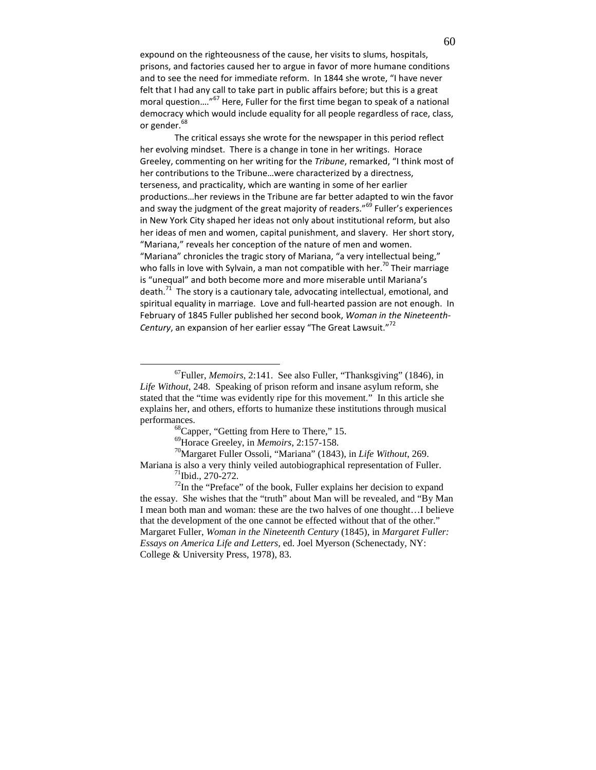expound on the righteousness of the cause, her visits to slums, hospitals, prisons, and factories caused her to argue in favor of more humane conditions and to see the need for immediate reform. In 1844 she wrote, "I have never felt that I had any call to take part in public affairs before; but this is a great moral question....<sup>"67</sup> Here, Fuller for the first time began to speak of a national democracy which would include equality for all people regardless of race, class, or gender.<sup>68</sup>

The critical essays she wrote for the newspaper in this period reflect her evolving mindset. There is a change in tone in her writings. Horace Greeley, commenting on her writing for the Tribune, remarked, "I think most of her contributions to the Tribune…were characterized by a directness, terseness, and practicality, which are wanting in some of her earlier productions…her reviews in the Tribune are far better adapted to win the favor and sway the judgment of the great majority of readers."<sup>69</sup> Fuller's experiences in New York City shaped her ideas not only about institutional reform, but also her ideas of men and women, capital punishment, and slavery. Her short story, "Mariana," reveals her conception of the nature of men and women. "Mariana" chronicles the tragic story of Mariana, "a very intellectual being," who falls in love with Sylvain, a man not compatible with her.<sup>70</sup> Their marriage is "unequal" and both become more and more miserable until Mariana's death. $71$  The story is a cautionary tale, advocating intellectual, emotional, and spiritual equality in marriage. Love and full-hearted passion are not enough. In February of 1845 Fuller published her second book, Woman in the Nineteenth-Century, an expansion of her earlier essay "The Great Lawsuit."<sup>72</sup>

<sup>67</sup>Fuller, *Memoirs*, 2:141. See also Fuller, "Thanksgiving" (1846), in *Life Without*, 248. Speaking of prison reform and insane asylum reform, she stated that the "time was evidently ripe for this movement." In this article she explains her, and others, efforts to humanize these institutions through musical performances.

<sup>&</sup>lt;sup>68</sup>Capper, "Getting from Here to There," 15.

<sup>69</sup>Horace Greeley, in *Memoirs*, 2:157-158.

<sup>70</sup>Margaret Fuller Ossoli, "Mariana" (1843), in *Life Without*, 269. Mariana is also a very thinly veiled autobiographical representation of Fuller.  $^{71}$ Ibid., 270-272.

 $72$ In the "Preface" of the book, Fuller explains her decision to expand the essay. She wishes that the "truth" about Man will be revealed, and "By Man I mean both man and woman: these are the two halves of one thought…I believe that the development of the one cannot be effected without that of the other." Margaret Fuller, *Woman in the Nineteenth Century* (1845), in *Margaret Fuller: Essays on America Life and Letters,* ed. Joel Myerson (Schenectady, NY: College & University Press, 1978), 83.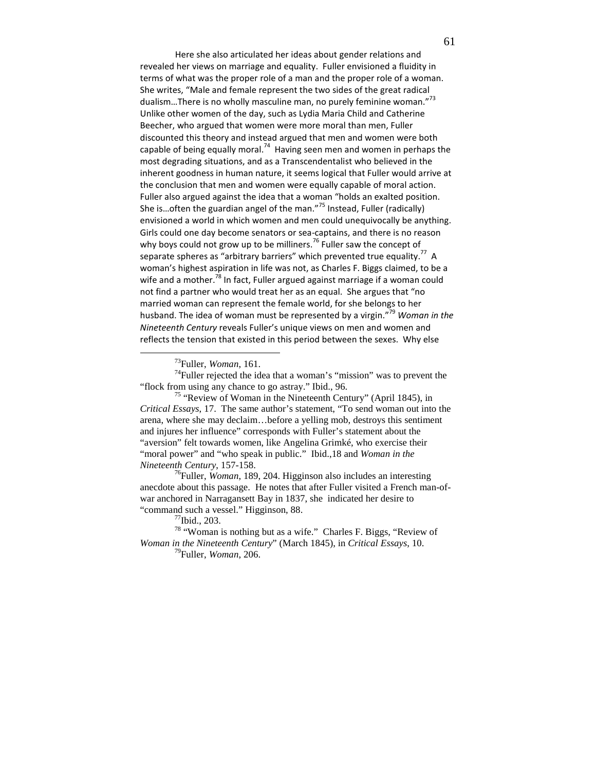Here she also articulated her ideas about gender relations and revealed her views on marriage and equality. Fuller envisioned a fluidity in terms of what was the proper role of a man and the proper role of a woman. She writes, "Male and female represent the two sides of the great radical dualism...There is no wholly masculine man, no purely feminine woman."<sup>73</sup> Unlike other women of the day, such as Lydia Maria Child and Catherine Beecher, who argued that women were more moral than men, Fuller discounted this theory and instead argued that men and women were both capable of being equally moral.<sup>74</sup> Having seen men and women in perhaps the most degrading situations, and as a Transcendentalist who believed in the inherent goodness in human nature, it seems logical that Fuller would arrive at the conclusion that men and women were equally capable of moral action. Fuller also argued against the idea that a woman "holds an exalted position. She is...often the guardian angel of the man."<sup>75</sup> Instead, Fuller (radically) envisioned a world in which women and men could unequivocally be anything. Girls could one day become senators or sea-captains, and there is no reason why boys could not grow up to be milliners.<sup>76</sup> Fuller saw the concept of separate spheres as "arbitrary barriers" which prevented true equality.<sup>77</sup> A woman's highest aspiration in life was not, as Charles F. Biggs claimed, to be a wife and a mother.<sup>78</sup> In fact, Fuller argued against marriage if a woman could not find a partner who would treat her as an equal. She argues that "no married woman can represent the female world, for she belongs to her husband. The idea of woman must be represented by a virgin."<sup>79</sup> Woman in the Nineteenth Century reveals Fuller's unique views on men and women and reflects the tension that existed in this period between the sexes. Why else

-

 $74$ Fuller rejected the idea that a woman's "mission" was to prevent the "flock from using any chance to go astray." Ibid., 96.

<sup>75</sup> "Review of Woman in the Nineteenth Century" (April 1845), in *Critical Essays*, 17. The same author's statement, "To send woman out into the arena, where she may declaim…before a yelling mob, destroys this sentiment and injures her influence" corresponds with Fuller's statement about the "aversion" felt towards women, like Angelina Grimké, who exercise their "moral power" and "who speak in public." Ibid.,18 and *Woman in the Nineteenth Century*, 157-158.

<sup>76</sup>Fuller, *Woman*, 189, 204. Higginson also includes an interesting anecdote about this passage. He notes that after Fuller visited a French man-ofwar anchored in Narragansett Bay in 1837, she indicated her desire to "command such a vessel." Higginson, 88.

<sup>78</sup> "Woman is nothing but as a wife." Charles F. Biggs, "Review of *Woman in the Nineteenth Century*" (March 1845), in *Critical Essays*, 10.

<sup>79</sup>Fuller, *Woman*, 206.

<sup>73</sup>Fuller, *Woman*, 161.

 $^{77}$ Ibid., 203.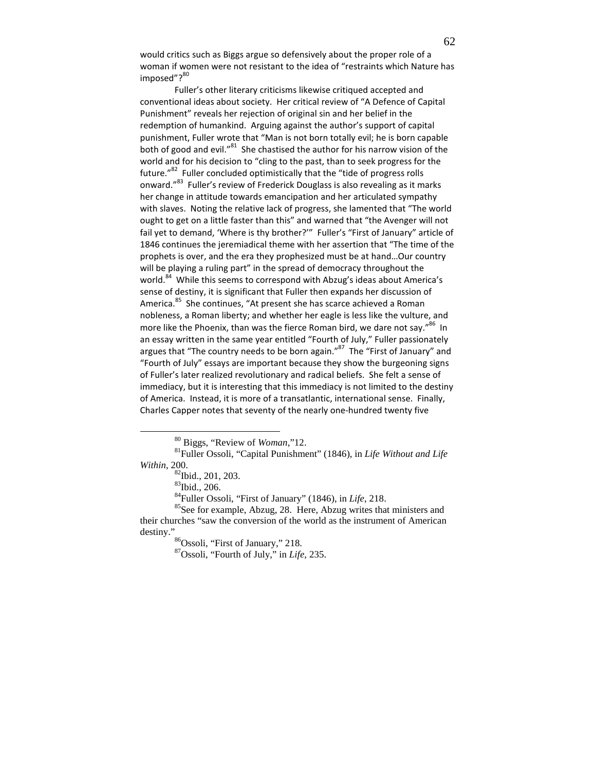would critics such as Biggs argue so defensively about the proper role of a woman if women were not resistant to the idea of "restraints which Nature has imposed"?<sup>80</sup>

Fuller's other literary criticisms likewise critiqued accepted and conventional ideas about society. Her critical review of "A Defence of Capital Punishment" reveals her rejection of original sin and her belief in the redemption of humankind. Arguing against the author's support of capital punishment, Fuller wrote that "Man is not born totally evil; he is born capable both of good and evil."<sup>81</sup> She chastised the author for his narrow vision of the world and for his decision to "cling to the past, than to seek progress for the future."<sup>82</sup> Fuller concluded optimistically that the "tide of progress rolls onward."<sup>83</sup> Fuller's review of Frederick Douglass is also revealing as it marks her change in attitude towards emancipation and her articulated sympathy with slaves. Noting the relative lack of progress, she lamented that "The world ought to get on a little faster than this" and warned that "the Avenger will not fail yet to demand, 'Where is thy brother?'" Fuller's "First of January" article of 1846 continues the jeremiadical theme with her assertion that "The time of the prophets is over, and the era they prophesized must be at hand…Our country will be playing a ruling part" in the spread of democracy throughout the world.<sup>84</sup> While this seems to correspond with Abzug's ideas about America's sense of destiny, it is significant that Fuller then expands her discussion of America.<sup>85</sup> She continues, "At present she has scarce achieved a Roman nobleness, a Roman liberty; and whether her eagle is less like the vulture, and more like the Phoenix, than was the fierce Roman bird, we dare not say."<sup>86</sup> In an essay written in the same year entitled "Fourth of July," Fuller passionately argues that "The country needs to be born again."<sup>87</sup> The "First of January" and "Fourth of July" essays are important because they show the burgeoning signs of Fuller's later realized revolutionary and radical beliefs. She felt a sense of immediacy, but it is interesting that this immediacy is not limited to the destiny of America. Instead, it is more of a transatlantic, international sense. Finally, Charles Capper notes that seventy of the nearly one-hundred twenty five

<sup>80</sup> Biggs, "Review of *Woman*,"12.

<sup>81</sup>Fuller Ossoli, "Capital Punishment" (1846), in *Life Without and Life Within*, 200.

<sup>&</sup>lt;sup>82</sup>Ibid., 201, 203.

<sup>83</sup>Ibid., 206.

<sup>84</sup>Fuller Ossoli, "First of January" (1846), in *Life*, 218.

<sup>&</sup>lt;sup>85</sup>See for example, Abzug, 28. Here, Abzug writes that ministers and their churches "saw the conversion of the world as the instrument of American destiny."

<sup>86</sup>Ossoli, "First of January," 218.

<sup>87</sup>Ossoli, "Fourth of July," in *Life*, 235.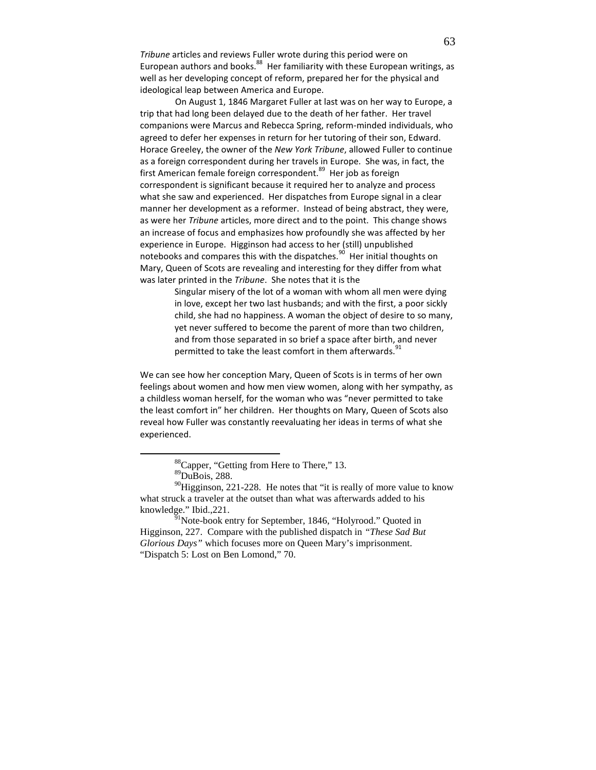Tribune articles and reviews Fuller wrote during this period were on European authors and books. $^{88}$  Her familiarity with these European writings, as well as her developing concept of reform, prepared her for the physical and ideological leap between America and Europe.

 On August 1, 1846 Margaret Fuller at last was on her way to Europe, a trip that had long been delayed due to the death of her father. Her travel companions were Marcus and Rebecca Spring, reform-minded individuals, who agreed to defer her expenses in return for her tutoring of their son, Edward. Horace Greeley, the owner of the New York Tribune, allowed Fuller to continue as a foreign correspondent during her travels in Europe. She was, in fact, the first American female foreign correspondent.<sup>89</sup> Her job as foreign correspondent is significant because it required her to analyze and process what she saw and experienced. Her dispatches from Europe signal in a clear manner her development as a reformer. Instead of being abstract, they were, as were her Tribune articles, more direct and to the point. This change shows an increase of focus and emphasizes how profoundly she was affected by her experience in Europe. Higginson had access to her (still) unpublished notebooks and compares this with the dispatches.<sup>90</sup> Her initial thoughts on Mary, Queen of Scots are revealing and interesting for they differ from what was later printed in the Tribune. She notes that it is the

> Singular misery of the lot of a woman with whom all men were dying in love, except her two last husbands; and with the first, a poor sickly child, she had no happiness. A woman the object of desire to so many, yet never suffered to become the parent of more than two children, and from those separated in so brief a space after birth, and never permitted to take the least comfort in them afterwards.<sup>91</sup>

We can see how her conception Mary, Queen of Scots is in terms of her own feelings about women and how men view women, along with her sympathy, as a childless woman herself, for the woman who was "never permitted to take the least comfort in" her children. Her thoughts on Mary, Queen of Scots also reveal how Fuller was constantly reevaluating her ideas in terms of what she experienced.

<u>.</u>

<sup>88</sup>Capper, "Getting from Here to There," 13.

 ${}^{89}$ DuBois, 288.

 $^{90}$ Higginson, 221-228. He notes that "it is really of more value to know what struck a traveler at the outset than what was afterwards added to his knowledge." Ibid.,221.

<sup>&</sup>lt;sup>91</sup>Note-book entry for September, 1846, "Holyrood." Quoted in Higginson, 227. Compare with the published dispatch in *"These Sad But Glorious Days"* which focuses more on Queen Mary's imprisonment. "Dispatch 5: Lost on Ben Lomond," 70.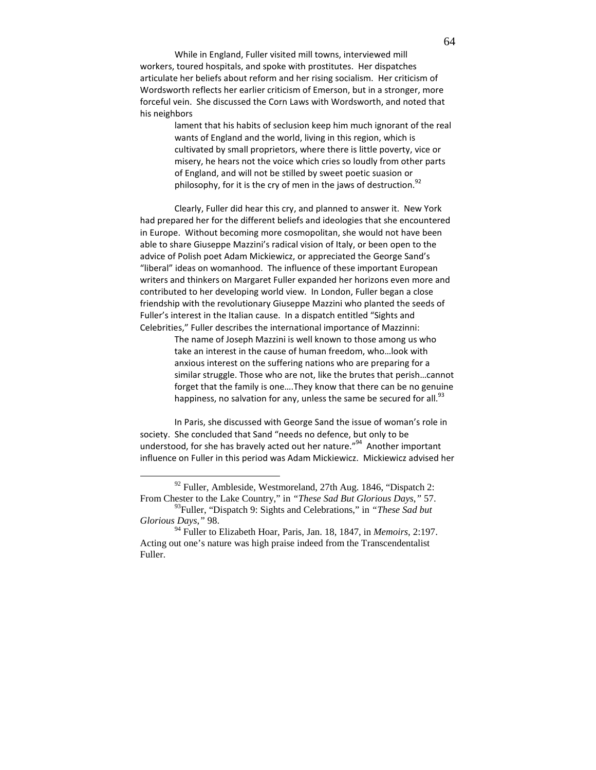While in England, Fuller visited mill towns, interviewed mill workers, toured hospitals, and spoke with prostitutes. Her dispatches articulate her beliefs about reform and her rising socialism. Her criticism of Wordsworth reflects her earlier criticism of Emerson, but in a stronger, more forceful vein. She discussed the Corn Laws with Wordsworth, and noted that his neighbors

> lament that his habits of seclusion keep him much ignorant of the real wants of England and the world, living in this region, which is cultivated by small proprietors, where there is little poverty, vice or misery, he hears not the voice which cries so loudly from other parts of England, and will not be stilled by sweet poetic suasion or philosophy, for it is the cry of men in the jaws of destruction.<sup>92</sup>

Clearly, Fuller did hear this cry, and planned to answer it. New York had prepared her for the different beliefs and ideologies that she encountered in Europe. Without becoming more cosmopolitan, she would not have been able to share Giuseppe Mazzini's radical vision of Italy, or been open to the advice of Polish poet Adam Mickiewicz, or appreciated the George Sand's "liberal" ideas on womanhood. The influence of these important European writers and thinkers on Margaret Fuller expanded her horizons even more and contributed to her developing world view. In London, Fuller began a close friendship with the revolutionary Giuseppe Mazzini who planted the seeds of Fuller's interest in the Italian cause. In a dispatch entitled "Sights and Celebrities," Fuller describes the international importance of Mazzinni:

> The name of Joseph Mazzini is well known to those among us who take an interest in the cause of human freedom, who…look with anxious interest on the suffering nations who are preparing for a similar struggle. Those who are not, like the brutes that perish…cannot forget that the family is one….They know that there can be no genuine happiness, no salvation for any, unless the same be secured for all.<sup>93</sup>

In Paris, she discussed with George Sand the issue of woman's role in society. She concluded that Sand "needs no defence, but only to be understood, for she has bravely acted out her nature."<sup>94</sup> Another important influence on Fuller in this period was Adam Mickiewicz. Mickiewicz advised her

<u>.</u>

 $92$  Fuller, Ambleside, Westmoreland, 27th Aug. 1846, "Dispatch 2: From Chester to the Lake Country," in *"These Sad But Glorious Days*,*"* 57.

<sup>93</sup>Fuller, "Dispatch 9: Sights and Celebrations," in *"These Sad but Glorious Days*,*"* 98.

<sup>94</sup> Fuller to Elizabeth Hoar, Paris, Jan. 18, 1847, in *Memoirs*, 2:197. Acting out one's nature was high praise indeed from the Transcendentalist Fuller.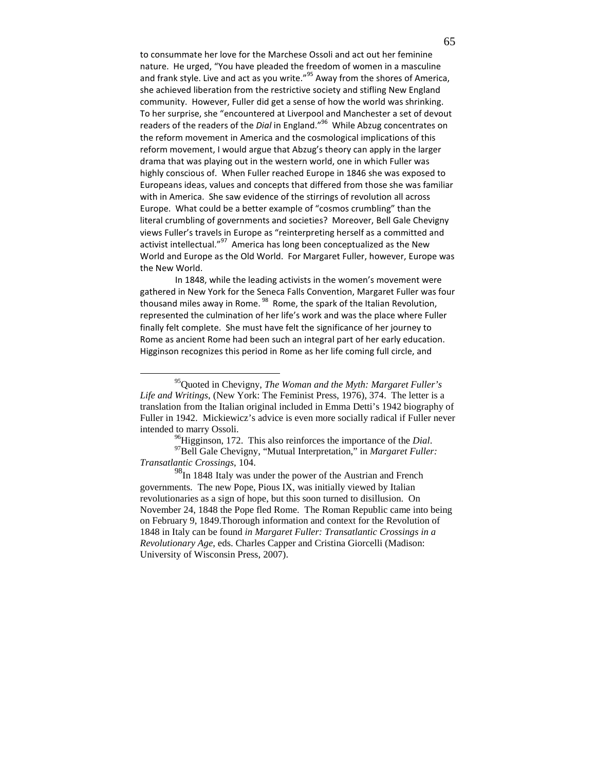to consummate her love for the Marchese Ossoli and act out her feminine nature. He urged, "You have pleaded the freedom of women in a masculine and frank style. Live and act as you write."<sup>95</sup> Away from the shores of America, she achieved liberation from the restrictive society and stifling New England community. However, Fuller did get a sense of how the world was shrinking. To her surprise, she "encountered at Liverpool and Manchester a set of devout readers of the readers of the Dial in England."<sup>96</sup> While Abzug concentrates on the reform movement in America and the cosmological implications of this reform movement, I would argue that Abzug's theory can apply in the larger drama that was playing out in the western world, one in which Fuller was highly conscious of. When Fuller reached Europe in 1846 she was exposed to Europeans ideas, values and concepts that differed from those she was familiar with in America. She saw evidence of the stirrings of revolution all across Europe. What could be a better example of "cosmos crumbling" than the literal crumbling of governments and societies? Moreover, Bell Gale Chevigny views Fuller's travels in Europe as "reinterpreting herself as a committed and activist intellectual."<sup>97</sup> America has long been conceptualized as the New World and Europe as the Old World. For Margaret Fuller, however, Europe was the New World.

 In 1848, while the leading activists in the women's movement were gathered in New York for the Seneca Falls Convention, Margaret Fuller was four thousand miles away in Rome.<sup>98</sup> Rome, the spark of the Italian Revolution, represented the culmination of her life's work and was the place where Fuller finally felt complete. She must have felt the significance of her journey to Rome as ancient Rome had been such an integral part of her early education. Higginson recognizes this period in Rome as her life coming full circle, and

<u>.</u>

<sup>96</sup>Higginson, 172. This also reinforces the importance of the *Dial*.

<sup>97</sup>Bell Gale Chevigny, "Mutual Interpretation," in *Margaret Fuller: Transatlantic Crossings*, 104.

<sup>98</sup>In 1848 Italy was under the power of the Austrian and French governments. The new Pope, Pious IX, was initially viewed by Italian revolutionaries as a sign of hope, but this soon turned to disillusion. On November 24, 1848 the Pope fled Rome. The Roman Republic came into being on February 9, 1849.Thorough information and context for the Revolution of 1848 in Italy can be found *in Margaret Fuller: Transatlantic Crossings in a Revolutionary Age*, eds. Charles Capper and Cristina Giorcelli (Madison: University of Wisconsin Press, 2007).

<sup>95</sup>Quoted in Chevigny, *The Woman and the Myth: Margaret Fuller's Life and Writings*, (New York: The Feminist Press, 1976), 374. The letter is a translation from the Italian original included in Emma Detti's 1942 biography of Fuller in 1942. Mickiewicz's advice is even more socially radical if Fuller never intended to marry Ossoli.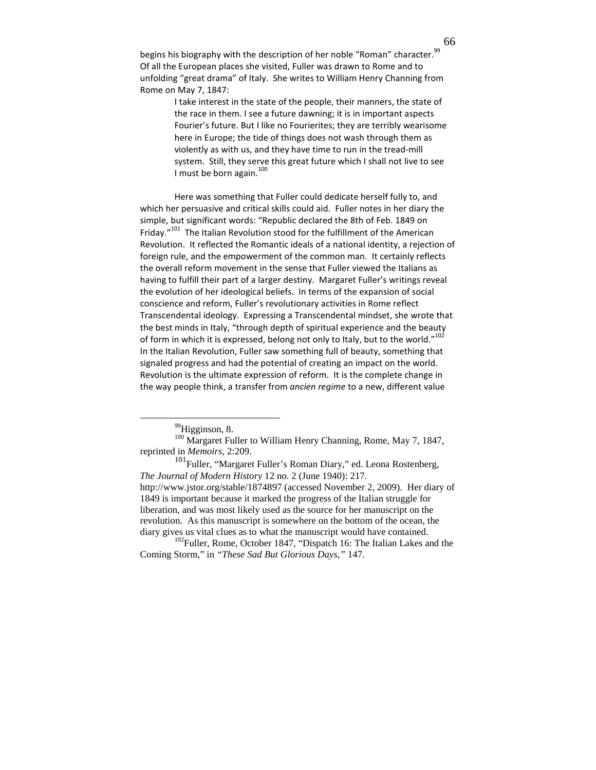begins his biography with the description of her noble "Roman" character.<sup>99</sup> Of all the European places she visited, Fuller was drawn to Rome and to unfolding "great drama" of Italy. She writes to William Henry Channing from Rome on May 7, 1847:

> I take interest in the state of the people, their manners, the state of the race in them. I see a future dawning; it is in important aspects Fourier's future. But I like no Fourierites; they are terribly wearisome here in Europe; the tide of things does not wash through them as violently as with us, and they have time to run in the tread-mill system. Still, they serve this great future which I shall not live to see I must be born again. $100$

Here was something that Fuller could dedicate herself fully to, and which her persuasive and critical skills could aid. Fuller notes in her diary the simple, but significant words: "Republic declared the 8th of Feb. 1849 on Friday."<sup>101</sup> The Italian Revolution stood for the fulfillment of the American Revolution. It reflected the Romantic ideals of a national identity, a rejection of foreign rule, and the empowerment of the common man. It certainly reflects the overall reform movement in the sense that Fuller viewed the Italians as having to fulfill their part of a larger destiny. Margaret Fuller's writings reveal the evolution of her ideological beliefs. In terms of the expansion of social conscience and reform, Fuller's revolutionary activities in Rome reflect Transcendental ideology. Expressing a Transcendental mindset, she wrote that the best minds in Italy, "through depth of spiritual experience and the beauty of form in which it is expressed, belong not only to Italy, but to the world." $^{102}$ In the Italian Revolution, Fuller saw something full of beauty, something that signaled progress and had the potential of creating an impact on the world. Revolution is the ultimate expression of reform. It is the complete change in the way people think, a transfer from *ancien regime* to a new, different value

<sup>99</sup>Higginson, 8.

 $\overline{a}$ 

100 Margaret Fuller to William Henry Channing, Rome, May 7, 1847, reprinted in *Memoirs*, 2:209.

<sup>101</sup>Fuller, "Margaret Fuller's Roman Diary," ed. Leona Rostenberg, *The Journal of Modern History* 12 no. 2 (June 1940): 217. http://www.jstor.org/stable/1874897 (accessed November 2, 2009). Her diary of 1849 is important because it marked the progress of the Italian struggle for liberation, and was most likely used as the source for her manuscript on the revolution. As this manuscript is somewhere on the bottom of the ocean, the diary gives us vital clues as to what the manuscript would have contained.

 $102$ Fuller, Rome, October 1847, "Dispatch 16: The Italian Lakes and the Coming Storm," in *"These Sad But Glorious Days*,*"* 147.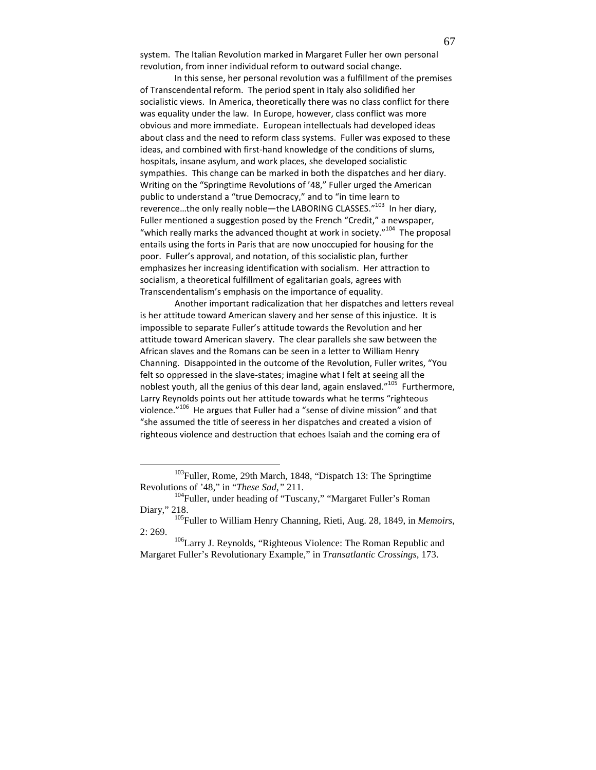system. The Italian Revolution marked in Margaret Fuller her own personal revolution, from inner individual reform to outward social change.

In this sense, her personal revolution was a fulfillment of the premises of Transcendental reform. The period spent in Italy also solidified her socialistic views. In America, theoretically there was no class conflict for there was equality under the law. In Europe, however, class conflict was more obvious and more immediate. European intellectuals had developed ideas about class and the need to reform class systems. Fuller was exposed to these ideas, and combined with first-hand knowledge of the conditions of slums, hospitals, insane asylum, and work places, she developed socialistic sympathies. This change can be marked in both the dispatches and her diary. Writing on the "Springtime Revolutions of '48," Fuller urged the American public to understand a "true Democracy," and to "in time learn to reverence...the only really noble—the LABORING CLASSES."<sup>103</sup> In her diary, Fuller mentioned a suggestion posed by the French "Credit," a newspaper, "which really marks the advanced thought at work in society."<sup>104</sup> The proposal entails using the forts in Paris that are now unoccupied for housing for the poor. Fuller's approval, and notation, of this socialistic plan, further emphasizes her increasing identification with socialism. Her attraction to socialism, a theoretical fulfillment of egalitarian goals, agrees with Transcendentalism's emphasis on the importance of equality.

Another important radicalization that her dispatches and letters reveal is her attitude toward American slavery and her sense of this injustice. It is impossible to separate Fuller's attitude towards the Revolution and her attitude toward American slavery. The clear parallels she saw between the African slaves and the Romans can be seen in a letter to William Henry Channing. Disappointed in the outcome of the Revolution, Fuller writes, "You felt so oppressed in the slave-states; imagine what I felt at seeing all the noblest youth, all the genius of this dear land, again enslaved."<sup>105</sup> Furthermore, Larry Reynolds points out her attitude towards what he terms "righteous violence."<sup>106</sup> He argues that Fuller had a "sense of divine mission" and that "she assumed the title of seeress in her dispatches and created a vision of righteous violence and destruction that echoes Isaiah and the coming era of

<sup>&</sup>lt;sup>103</sup>Fuller, Rome, 29th March, 1848, "Dispatch 13: The Springtime Revolutions of '48," in "*These Sad*,*"* 211.

<sup>&</sup>lt;sup>104</sup>Fuller, under heading of "Tuscany," "Margaret Fuller's Roman Diary," 218.

<sup>105</sup>Fuller to William Henry Channing, Rieti, Aug. 28, 1849, in *Memoirs*, 2: 269.

<sup>106</sup>Larry J. Reynolds, "Righteous Violence: The Roman Republic and Margaret Fuller's Revolutionary Example," in *Transatlantic Crossings*, 173.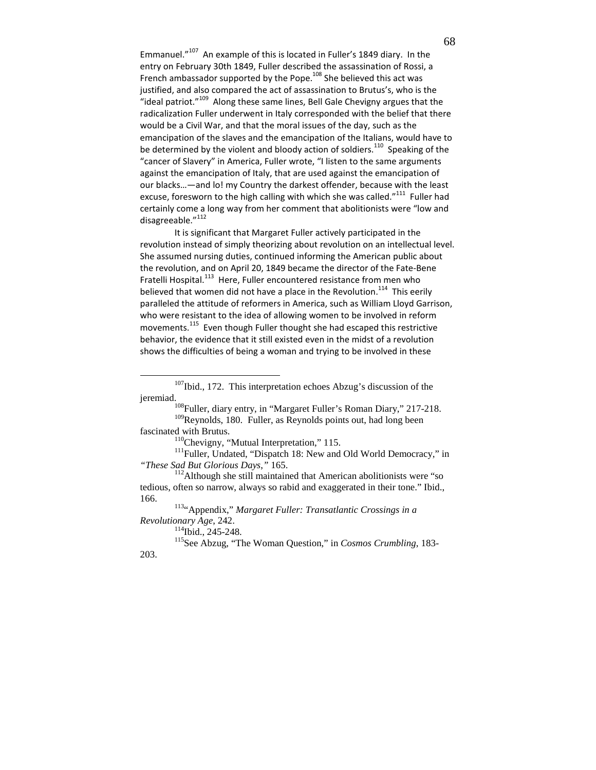Emmanuel."<sup>107</sup> An example of this is located in Fuller's 1849 diary. In the entry on February 30th 1849, Fuller described the assassination of Rossi, a French ambassador supported by the Pope.<sup>108</sup> She believed this act was justified, and also compared the act of assassination to Brutus's, who is the "ideal patriot."<sup>109</sup> Along these same lines, Bell Gale Chevigny argues that the radicalization Fuller underwent in Italy corresponded with the belief that there would be a Civil War, and that the moral issues of the day, such as the emancipation of the slaves and the emancipation of the Italians, would have to be determined by the violent and bloody action of soldiers.<sup>110</sup> Speaking of the "cancer of Slavery" in America, Fuller wrote, "I listen to the same arguments against the emancipation of Italy, that are used against the emancipation of our blacks…—and lo! my Country the darkest offender, because with the least excuse, foresworn to the high calling with which she was called."<sup>111</sup> Fuller had certainly come a long way from her comment that abolitionists were "low and disagreeable."<sup>112</sup>

It is significant that Margaret Fuller actively participated in the revolution instead of simply theorizing about revolution on an intellectual level. She assumed nursing duties, continued informing the American public about the revolution, and on April 20, 1849 became the director of the Fate-Bene Fratelli Hospital.<sup>113</sup> Here, Fuller encountered resistance from men who believed that women did not have a place in the Revolution.<sup>114</sup> This eerily paralleled the attitude of reformers in America, such as William Lloyd Garrison, who were resistant to the idea of allowing women to be involved in reform movements.<sup>115</sup> Even though Fuller thought she had escaped this restrictive behavior, the evidence that it still existed even in the midst of a revolution shows the difficulties of being a woman and trying to be involved in these

<sup>107</sup>Ibid., 172. This interpretation echoes Abzug's discussion of the jeremiad.

<sup>&</sup>lt;sup>108</sup>Fuller, diary entry, in "Margaret Fuller's Roman Diary," 217-218. <sup>109</sup>Reynolds, 180. Fuller, as Reynolds points out, had long been

fascinated with Brutus.

<sup>&</sup>lt;sup>110</sup>Chevigny, "Mutual Interpretation," 115.

<sup>&</sup>lt;sup>111</sup>Fuller, Undated, "Dispatch 18: New and Old World Democracy," in *"These Sad But Glorious Days*,*"* 165.

 $112$ Although she still maintained that American abolitionists were "so tedious, often so narrow, always so rabid and exaggerated in their tone." Ibid., 166.

<sup>113</sup>"Appendix," *Margaret Fuller: Transatlantic Crossings in a Revolutionary Age*, 242.

<sup>114</sup>Ibid., 245-248.

<sup>115</sup>See Abzug, "The Woman Question," in *Cosmos Crumbling*, 183- 203.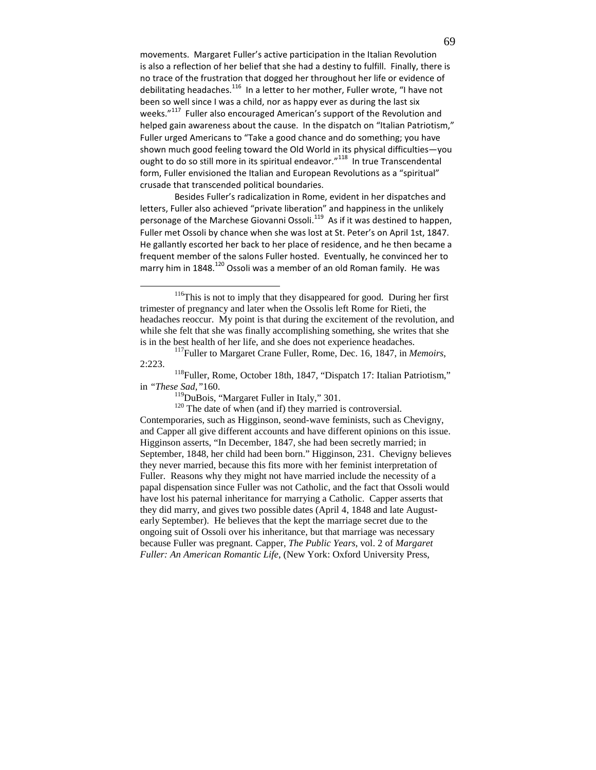movements. Margaret Fuller's active participation in the Italian Revolution is also a reflection of her belief that she had a destiny to fulfill. Finally, there is no trace of the frustration that dogged her throughout her life or evidence of debilitating headaches.<sup>116</sup> In a letter to her mother, Fuller wrote, "I have not been so well since I was a child, nor as happy ever as during the last six weeks."<sup>117</sup> Fuller also encouraged American's support of the Revolution and helped gain awareness about the cause. In the dispatch on "Italian Patriotism," Fuller urged Americans to "Take a good chance and do something; you have shown much good feeling toward the Old World in its physical difficulties—you ought to do so still more in its spiritual endeavor."<sup>118</sup> In true Transcendental form, Fuller envisioned the Italian and European Revolutions as a "spiritual" crusade that transcended political boundaries.

Besides Fuller's radicalization in Rome, evident in her dispatches and letters, Fuller also achieved "private liberation" and happiness in the unlikely personage of the Marchese Giovanni Ossoli.<sup>119</sup> As if it was destined to happen, Fuller met Ossoli by chance when she was lost at St. Peter's on April 1st, 1847. He gallantly escorted her back to her place of residence, and he then became a frequent member of the salons Fuller hosted. Eventually, he convinced her to marry him in 1848.<sup>120</sup> Ossoli was a member of an old Roman family. He was

-

<sup>120</sup> The date of when (and if) they married is controversial.

Contemporaries, such as Higginson, seond-wave feminists, such as Chevigny, and Capper all give different accounts and have different opinions on this issue. Higginson asserts, "In December, 1847, she had been secretly married; in September, 1848, her child had been born." Higginson, 231. Chevigny believes they never married, because this fits more with her feminist interpretation of Fuller. Reasons why they might not have married include the necessity of a papal dispensation since Fuller was not Catholic, and the fact that Ossoli would have lost his paternal inheritance for marrying a Catholic. Capper asserts that they did marry, and gives two possible dates (April 4, 1848 and late Augustearly September). He believes that the kept the marriage secret due to the ongoing suit of Ossoli over his inheritance, but that marriage was necessary because Fuller was pregnant. Capper, *The Public Years*, vol. 2 of *Margaret Fuller: An American Romantic Life*, (New York: Oxford University Press,

<sup>&</sup>lt;sup>116</sup>This is not to imply that they disappeared for good. During her first trimester of pregnancy and later when the Ossolis left Rome for Rieti, the headaches reoccur. My point is that during the excitement of the revolution, and while she felt that she was finally accomplishing something, she writes that she is in the best health of her life, and she does not experience headaches.

<sup>117</sup>Fuller to Margaret Crane Fuller, Rome, Dec. 16, 1847, in *Memoirs*, 2:223.

<sup>118</sup>Fuller, Rome, October 18th, 1847, "Dispatch 17: Italian Patriotism," in *"These Sad*,*"*160.

<sup>&</sup>lt;sup>119</sup>DuBois, "Margaret Fuller in Italy," 301.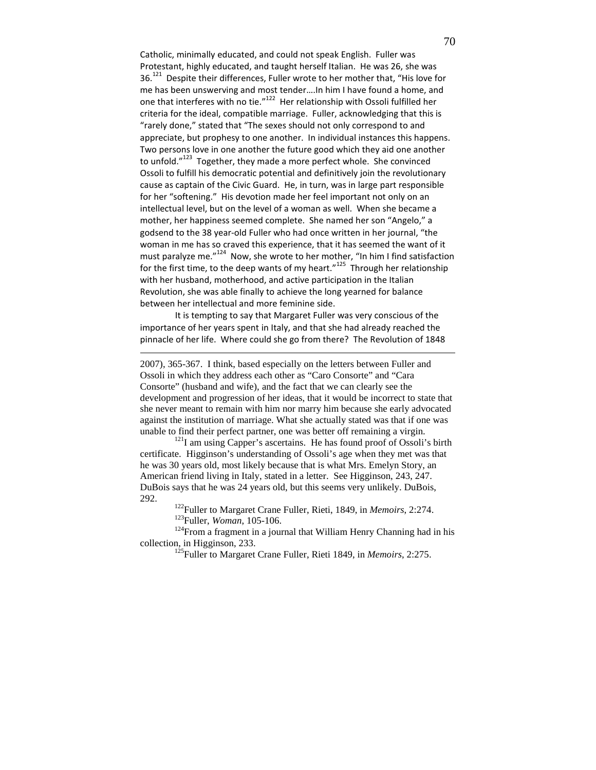Catholic, minimally educated, and could not speak English. Fuller was Protestant, highly educated, and taught herself Italian. He was 26, she was 36.<sup>121</sup> Despite their differences, Fuller wrote to her mother that, "His love for me has been unswerving and most tender….In him I have found a home, and one that interferes with no tie."<sup>122</sup> Her relationship with Ossoli fulfilled her criteria for the ideal, compatible marriage. Fuller, acknowledging that this is "rarely done," stated that "The sexes should not only correspond to and appreciate, but prophesy to one another. In individual instances this happens. Two persons love in one another the future good which they aid one another to unfold."<sup>123</sup> Together, they made a more perfect whole. She convinced Ossoli to fulfill his democratic potential and definitively join the revolutionary cause as captain of the Civic Guard. He, in turn, was in large part responsible for her "softening." His devotion made her feel important not only on an intellectual level, but on the level of a woman as well. When she became a mother, her happiness seemed complete. She named her son "Angelo," a godsend to the 38 year-old Fuller who had once written in her journal, "the woman in me has so craved this experience, that it has seemed the want of it must paralyze me."<sup>124</sup> Now, she wrote to her mother, "In him I find satisfaction for the first time, to the deep wants of my heart." $125$  Through her relationship with her husband, motherhood, and active participation in the Italian Revolution, she was able finally to achieve the long yearned for balance between her intellectual and more feminine side.

 It is tempting to say that Margaret Fuller was very conscious of the importance of her years spent in Italy, and that she had already reached the pinnacle of her life. Where could she go from there? The Revolution of 1848

 $\overline{a}$ 

2007), 365-367. I think, based especially on the letters between Fuller and Ossoli in which they address each other as "Caro Consorte" and "Cara Consorte" (husband and wife), and the fact that we can clearly see the development and progression of her ideas, that it would be incorrect to state that she never meant to remain with him nor marry him because she early advocated against the institution of marriage. What she actually stated was that if one was unable to find their perfect partner, one was better off remaining a virgin.

<sup>121</sup>I am using Capper's ascertains. He has found proof of Ossoli's birth certificate. Higginson's understanding of Ossoli's age when they met was that he was 30 years old, most likely because that is what Mrs. Emelyn Story, an American friend living in Italy, stated in a letter. See Higginson, 243, 247. DuBois says that he was 24 years old, but this seems very unlikely. DuBois, 292.

<sup>122</sup>Fuller to Margaret Crane Fuller, Rieti, 1849, in *Memoirs*, 2:274. <sup>123</sup>Fuller, *Woman*, 105-106.

<sup>124</sup>From a fragment in a journal that William Henry Channing had in his collection, in Higginson, 233.

<sup>125</sup>Fuller to Margaret Crane Fuller, Rieti 1849, in *Memoirs*, 2:275.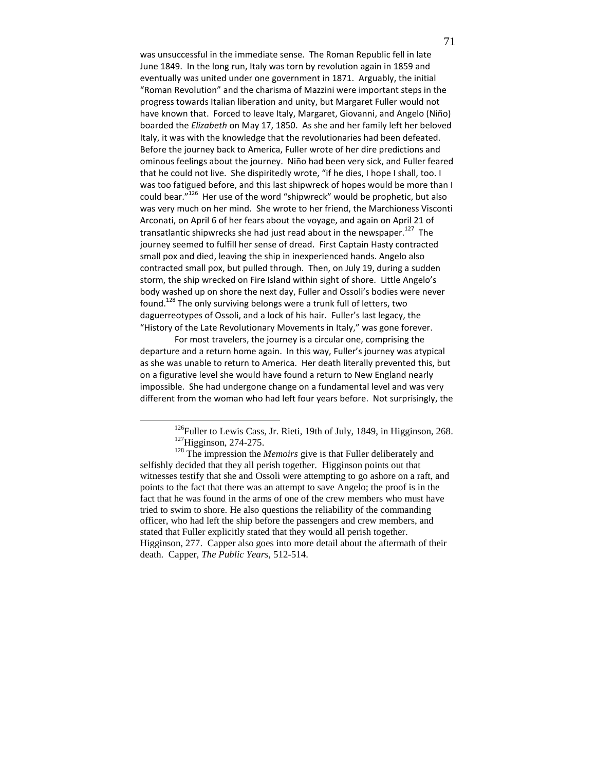was unsuccessful in the immediate sense. The Roman Republic fell in late June 1849. In the long run, Italy was torn by revolution again in 1859 and eventually was united under one government in 1871. Arguably, the initial "Roman Revolution" and the charisma of Mazzini were important steps in the progress towards Italian liberation and unity, but Margaret Fuller would not have known that. Forced to leave Italy, Margaret, Giovanni, and Angelo (Niño) boarded the Elizabeth on May 17, 1850. As she and her family left her beloved Italy, it was with the knowledge that the revolutionaries had been defeated. Before the journey back to America, Fuller wrote of her dire predictions and ominous feelings about the journey. Niño had been very sick, and Fuller feared that he could not live. She dispiritedly wrote, "if he dies, I hope I shall, too. I was too fatigued before, and this last shipwreck of hopes would be more than I could bear."<sup>126</sup> Her use of the word "shipwreck" would be prophetic, but also was very much on her mind. She wrote to her friend, the Marchioness Visconti Arconati, on April 6 of her fears about the voyage, and again on April 21 of transatlantic shipwrecks she had just read about in the newspaper.<sup>127</sup> The journey seemed to fulfill her sense of dread. First Captain Hasty contracted small pox and died, leaving the ship in inexperienced hands. Angelo also contracted small pox, but pulled through. Then, on July 19, during a sudden storm, the ship wrecked on Fire Island within sight of shore. Little Angelo's body washed up on shore the next day, Fuller and Ossoli's bodies were never found.<sup>128</sup> The only surviving belongs were a trunk full of letters, two daguerreotypes of Ossoli, and a lock of his hair. Fuller's last legacy, the "History of the Late Revolutionary Movements in Italy," was gone forever.

For most travelers, the journey is a circular one, comprising the departure and a return home again. In this way, Fuller's journey was atypical as she was unable to return to America. Her death literally prevented this, but on a figurative level she would have found a return to New England nearly impossible. She had undergone change on a fundamental level and was very different from the woman who had left four years before. Not surprisingly, the

<sup>&</sup>lt;sup>126</sup>Fuller to Lewis Cass, Jr. Rieti, 19th of July, 1849, in Higginson, 268. <sup>127</sup>Higginson, 274-275.

<sup>&</sup>lt;sup>128</sup> The impression the *Memoirs* give is that Fuller deliberately and selfishly decided that they all perish together. Higginson points out that witnesses testify that she and Ossoli were attempting to go ashore on a raft, and points to the fact that there was an attempt to save Angelo; the proof is in the fact that he was found in the arms of one of the crew members who must have tried to swim to shore. He also questions the reliability of the commanding officer, who had left the ship before the passengers and crew members, and stated that Fuller explicitly stated that they would all perish together. Higginson, 277. Capper also goes into more detail about the aftermath of their death. Capper, *The Public Years*, 512-514.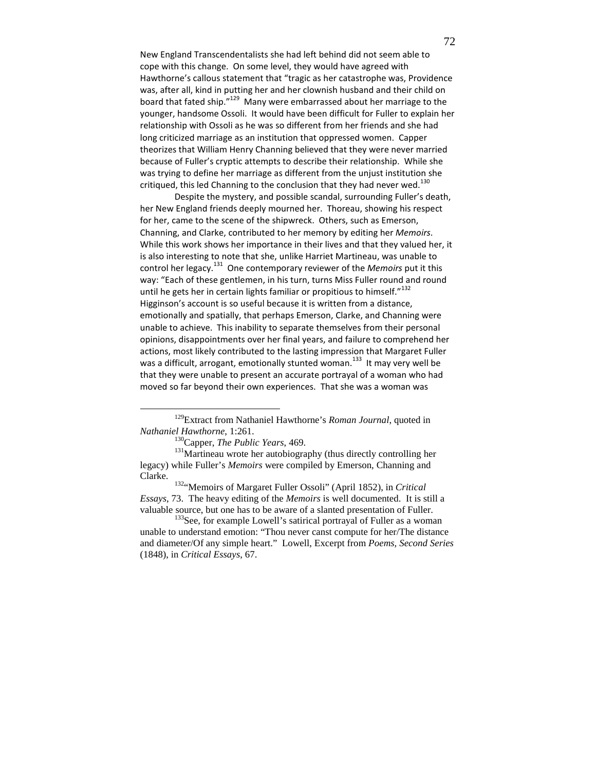New England Transcendentalists she had left behind did not seem able to cope with this change. On some level, they would have agreed with Hawthorne's callous statement that "tragic as her catastrophe was, Providence was, after all, kind in putting her and her clownish husband and their child on board that fated ship."<sup>129</sup> Many were embarrassed about her marriage to the younger, handsome Ossoli. It would have been difficult for Fuller to explain her relationship with Ossoli as he was so different from her friends and she had long criticized marriage as an institution that oppressed women. Capper theorizes that William Henry Channing believed that they were never married because of Fuller's cryptic attempts to describe their relationship. While she was trying to define her marriage as different from the unjust institution she critiqued, this led Channing to the conclusion that they had never wed.<sup>130</sup>

Despite the mystery, and possible scandal, surrounding Fuller's death, her New England friends deeply mourned her. Thoreau, showing his respect for her, came to the scene of the shipwreck. Others, such as Emerson, Channing, and Clarke, contributed to her memory by editing her Memoirs. While this work shows her importance in their lives and that they valued her, it is also interesting to note that she, unlike Harriet Martineau, was unable to control her legacy.<sup>131</sup> One contemporary reviewer of the *Memoirs* put it this way: "Each of these gentlemen, in his turn, turns Miss Fuller round and round until he gets her in certain lights familiar or propitious to himself." $^{132}$ Higginson's account is so useful because it is written from a distance, emotionally and spatially, that perhaps Emerson, Clarke, and Channing were unable to achieve. This inability to separate themselves from their personal opinions, disappointments over her final years, and failure to comprehend her actions, most likely contributed to the lasting impression that Margaret Fuller was a difficult, arrogant, emotionally stunted woman.<sup>133</sup> It may very well be that they were unable to present an accurate portrayal of a woman who had moved so far beyond their own experiences. That she was a woman was

<sup>129</sup>Extract from Nathaniel Hawthorne's *Roman Journal*, quoted in *Nathaniel Hawthorne*, 1:261.

<sup>130</sup>Capper, *The Public Years*, 469.

<sup>&</sup>lt;sup>131</sup>Martineau wrote her autobiography (thus directly controlling her legacy) while Fuller's *Memoirs* were compiled by Emerson, Channing and Clarke.

<sup>132</sup>"Memoirs of Margaret Fuller Ossoli" (April 1852), in *Critical Essays*, 73. The heavy editing of the *Memoirs* is well documented. It is still a valuable source, but one has to be aware of a slanted presentation of Fuller.

<sup>&</sup>lt;sup>133</sup>See, for example Lowell's satirical portrayal of Fuller as a woman unable to understand emotion: "Thou never canst compute for her/The distance and diameter/Of any simple heart." Lowell, Excerpt from *Poems, Second Series* (1848), in *Critical Essays*, 67.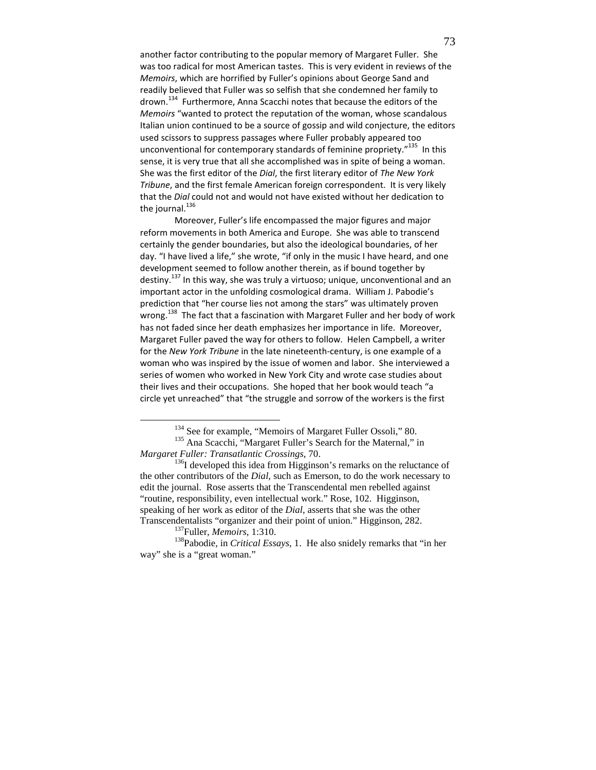another factor contributing to the popular memory of Margaret Fuller. She was too radical for most American tastes. This is very evident in reviews of the Memoirs, which are horrified by Fuller's opinions about George Sand and readily believed that Fuller was so selfish that she condemned her family to drown.<sup>134</sup> Furthermore, Anna Scacchi notes that because the editors of the Memoirs "wanted to protect the reputation of the woman, whose scandalous Italian union continued to be a source of gossip and wild conjecture, the editors used scissors to suppress passages where Fuller probably appeared too unconventional for contemporary standards of feminine propriety."<sup>135</sup> In this sense, it is very true that all she accomplished was in spite of being a woman. She was the first editor of the Dial, the first literary editor of The New York Tribune, and the first female American foreign correspondent. It is very likely that the Dial could not and would not have existed without her dedication to the journal. $^{136}$ 

Moreover, Fuller's life encompassed the major figures and major reform movements in both America and Europe. She was able to transcend certainly the gender boundaries, but also the ideological boundaries, of her day. "I have lived a life," she wrote, "if only in the music I have heard, and one development seemed to follow another therein, as if bound together by destiny.<sup>137</sup> In this way, she was truly a virtuoso; unique, unconventional and an important actor in the unfolding cosmological drama. William J. Pabodie's prediction that "her course lies not among the stars" was ultimately proven wrong.<sup>138</sup> The fact that a fascination with Margaret Fuller and her body of work has not faded since her death emphasizes her importance in life. Moreover, Margaret Fuller paved the way for others to follow. Helen Campbell, a writer for the New York Tribune in the late nineteenth-century, is one example of a woman who was inspired by the issue of women and labor. She interviewed a series of women who worked in New York City and wrote case studies about their lives and their occupations. She hoped that her book would teach "a circle yet unreached" that "the struggle and sorrow of the workers is the first

<sup>&</sup>lt;sup>134</sup> See for example, "Memoirs of Margaret Fuller Ossoli," 80.

<sup>&</sup>lt;sup>135</sup> Ana Scacchi, "Margaret Fuller's Search for the Maternal," in *Margaret Fuller: Transatlantic Crossings*, 70.

 $136$ I developed this idea from Higginson's remarks on the reluctance of the other contributors of the *Dial*, such as Emerson, to do the work necessary to edit the journal. Rose asserts that the Transcendental men rebelled against "routine, responsibility, even intellectual work." Rose, 102. Higginson, speaking of her work as editor of the *Dial*, asserts that she was the other Transcendentalists "organizer and their point of union." Higginson, 282.

<sup>137</sup>Fuller, *Memoirs*, 1:310.

<sup>138</sup>Pabodie, in *Critical Essays*, 1. He also snidely remarks that "in her way" she is a "great woman."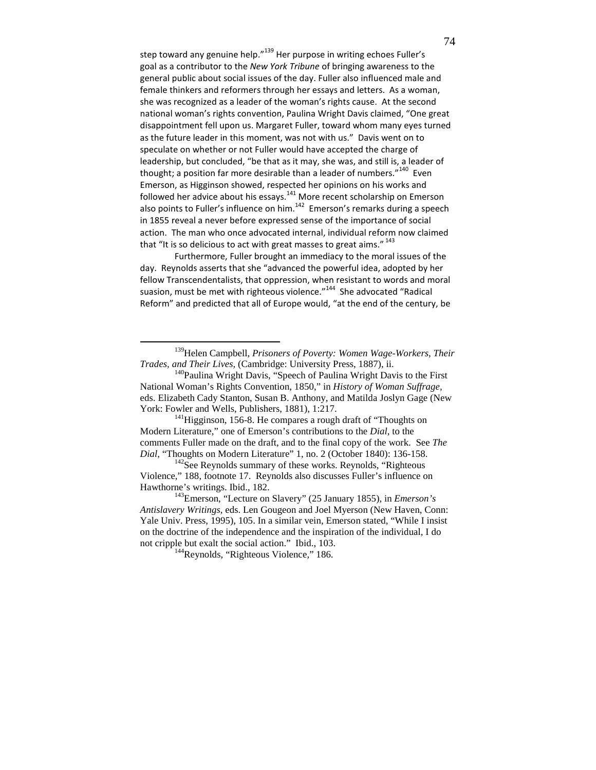step toward any genuine help."<sup>139</sup> Her purpose in writing echoes Fuller's goal as a contributor to the New York Tribune of bringing awareness to the general public about social issues of the day. Fuller also influenced male and female thinkers and reformers through her essays and letters. As a woman, she was recognized as a leader of the woman's rights cause. At the second national woman's rights convention, Paulina Wright Davis claimed, "One great disappointment fell upon us. Margaret Fuller, toward whom many eyes turned as the future leader in this moment, was not with us." Davis went on to speculate on whether or not Fuller would have accepted the charge of leadership, but concluded, "be that as it may, she was, and still is, a leader of thought; a position far more desirable than a leader of numbers."<sup>140</sup> Even Emerson, as Higginson showed, respected her opinions on his works and followed her advice about his essays. $141$  More recent scholarship on Emerson also points to Fuller's influence on him. $142$  Emerson's remarks during a speech in 1855 reveal a never before expressed sense of the importance of social action. The man who once advocated internal, individual reform now claimed that "It is so delicious to act with great masses to great aims."  $^{143}$ 

Furthermore, Fuller brought an immediacy to the moral issues of the day. Reynolds asserts that she "advanced the powerful idea, adopted by her fellow Transcendentalists, that oppression, when resistant to words and moral suasion, must be met with righteous violence."<sup>144</sup> She advocated "Radical Reform" and predicted that all of Europe would, "at the end of the century, be

<sup>139</sup>Helen Campbell, *Prisoners of Poverty: Women Wage-Workers, Their Trades, and Their Lives,* (Cambridge: University Press, 1887), ii.

<sup>&</sup>lt;sup>140</sup>Paulina Wright Davis, "Speech of Paulina Wright Davis to the First National Woman's Rights Convention, 1850," in *History of Woman Suffrage,*  eds. Elizabeth Cady Stanton, Susan B. Anthony, and Matilda Joslyn Gage (New York: Fowler and Wells, Publishers, 1881), 1:217.

 $141$ Higginson, 156-8. He compares a rough draft of "Thoughts on Modern Literature," one of Emerson's contributions to the *Dial*, to the comments Fuller made on the draft, and to the final copy of the work. See *The Dial*, "Thoughts on Modern Literature" 1, no. 2 (October 1840): 136-158.

 $142$ See Reynolds summary of these works. Reynolds, "Righteous" Violence," 188, footnote 17. Reynolds also discusses Fuller's influence on Hawthorne's writings. Ibid., 182.

<sup>143</sup>Emerson, "Lecture on Slavery" (25 January 1855), in *Emerson's Antislavery Writings*, eds. Len Gougeon and Joel Myerson (New Haven, Conn: Yale Univ. Press, 1995), 105. In a similar vein, Emerson stated, "While I insist on the doctrine of the independence and the inspiration of the individual, I do not cripple but exalt the social action." Ibid., 103.

<sup>&</sup>lt;sup>144</sup>Reynolds, "Righteous Violence," 186.